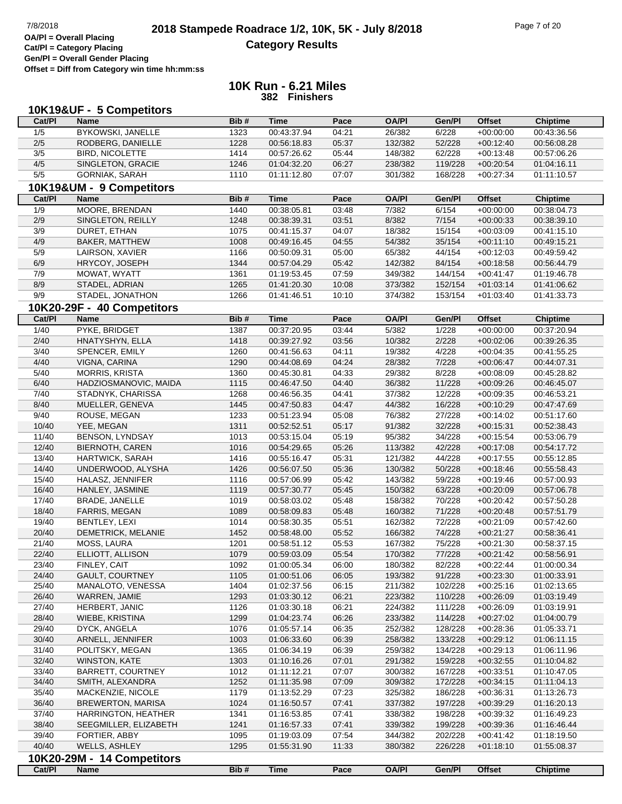# **2018 Stampede Roadrace 1/2, 10K, 5K - July 8/2018** Page 7 of 20<br> **DAPI** = Overall Placing **2018 Stampede Roadrace 1/2, 10K, 5K - July 8/2018 Category Results**

**Gen/Pl = Overall Gender Placing**

**Offset = Diff from Category win time hh:mm:ss**

|        | 10K19&UF - 5 Competitors   |      |             |       |              |         |               |                 |
|--------|----------------------------|------|-------------|-------|--------------|---------|---------------|-----------------|
| Cat/PI | <b>Name</b>                | Bib# | <b>Time</b> | Pace  | <b>OA/PI</b> | Gen/Pl  | <b>Offset</b> | <b>Chiptime</b> |
| 1/5    | <b>BYKOWSKI, JANELLE</b>   | 1323 | 00:43:37.94 | 04:21 | 26/382       | 6/228   | $+00:00:00$   | 00:43:36.56     |
| 2/5    | RODBERG, DANIELLE          | 1228 | 00:56:18.83 | 05:37 | 132/382      | 52/228  | $+00:12:40$   | 00:56:08.28     |
| 3/5    | <b>BIRD, NICOLETTE</b>     | 1414 | 00:57:26.62 | 05:44 | 148/382      | 62/228  | $+00:13:48$   | 00:57:06.26     |
| 4/5    | SINGLETON, GRACIE          | 1246 | 01:04:32.20 | 06:27 | 238/382      | 119/228 | $+00:20:54$   | 01:04:16.11     |
| 5/5    | GORNIAK, SARAH             | 1110 | 01:11:12.80 | 07:07 | 301/382      | 168/228 | $+00:27:34$   | 01:11:10.57     |
|        | 10K19&UM - 9 Competitors   |      |             |       |              |         |               |                 |
| Cat/PI | <b>Name</b>                | Bib# | <b>Time</b> | Pace  | <b>OA/PI</b> | Gen/Pl  | <b>Offset</b> | <b>Chiptime</b> |
| 1/9    | MOORE, BRENDAN             | 1440 | 00:38:05.81 | 03:48 | 7/382        | 6/154   | $+00:00:00$   | 00:38:04.73     |
|        |                            |      |             |       |              |         |               |                 |
| 2/9    | SINGLETON, REILLY          | 1248 | 00:38:39.31 | 03:51 | 8/382        | 7/154   | $+00:00:33$   | 00:38:39.10     |
| 3/9    | DURET, ETHAN               | 1075 | 00:41:15.37 | 04:07 | 18/382       | 15/154  | $+00:03:09$   | 00:41:15.10     |
| 4/9    | <b>BAKER, MATTHEW</b>      | 1008 | 00:49:16.45 | 04:55 | 54/382       | 35/154  | $+00:11:10$   | 00:49:15.21     |
| 5/9    | LAIRSON, XAVIER            | 1166 | 00:50:09.31 | 05:00 | 65/382       | 44/154  | $+00:12:03$   | 00:49:59.42     |
| 6/9    | HRYCOY, JOSEPH             | 1344 | 00:57:04.29 | 05:42 | 142/382      | 84/154  | $+00:18:58$   | 00:56:44.79     |
| 7/9    | MOWAT, WYATT               | 1361 | 01:19:53.45 | 07:59 | 349/382      | 144/154 | $+00:41:47$   | 01:19:46.78     |
| 8/9    | STADEL, ADRIAN             | 1265 | 01:41:20.30 | 10:08 | 373/382      | 152/154 | $+01:03:14$   | 01:41:06.62     |
| 9/9    | STADEL, JONATHON           | 1266 | 01:41:46.51 | 10:10 | 374/382      | 153/154 | $+01:03:40$   | 01:41:33.73     |
|        | 10K20-29F - 40 Competitors |      |             |       |              |         |               |                 |
| Cat/PI | <b>Name</b>                | Bib# | <b>Time</b> | Pace  | <b>OA/PI</b> | Gen/PI  | <b>Offset</b> | Chiptime        |
| 1/40   | PYKE, BRIDGET              | 1387 | 00:37:20.95 | 03:44 | 5/382        | 1/228   | $+00:00:00$   | 00:37:20.94     |
| 2/40   | HNATYSHYN, ELLA            | 1418 | 00:39:27.92 | 03:56 | 10/382       | 2/228   | $+00:02:06$   | 00:39:26.35     |
| 3/40   | SPENCER, EMILY             | 1260 | 00:41:56.63 | 04:11 | 19/382       | 4/228   | $+00:04:35$   | 00:41:55.25     |
| 4/40   | VIGNA, CARINA              | 1290 | 00:44:08.69 | 04:24 | 28/382       | 7/228   | $+00:06:47$   | 00:44:07.31     |
| $5/40$ | <b>MORRIS, KRISTA</b>      | 1360 | 00:45:30.81 | 04:33 | 29/382       | 8/228   | $+00:08:09$   | 00:45:28.82     |
| 6/40   | HADZIOSMANOVIC, MAIDA      | 1115 | 00:46:47.50 | 04:40 | 36/382       | 11/228  | $+00:09:26$   | 00:46:45.07     |
| 7/40   | STADNYK, CHARISSA          | 1268 | 00:46:56.35 | 04:41 | 37/382       | 12/228  | $+00:09:35$   | 00:46:53.21     |
| 8/40   | MUELLER, GENEVA            | 1445 | 00:47:50.83 | 04:47 | 44/382       | 16/228  | $+00:10:29$   | 00:47:47.69     |
| 9/40   | ROUSE, MEGAN               | 1233 | 00:51:23.94 | 05:08 | 76/382       | 27/228  | $+00:14:02$   | 00:51:17.60     |
| 10/40  | YEE, MEGAN                 | 1311 | 00:52:52.51 | 05:17 | 91/382       | 32/228  | $+00:15:31$   | 00:52:38.43     |
| 11/40  | <b>BENSON, LYNDSAY</b>     | 1013 | 00:53:15.04 | 05:19 | 95/382       | 34/228  | $+00:15:54$   | 00:53:06.79     |
| 12/40  | <b>BIERNOTH, CAREN</b>     | 1016 | 00:54:29.65 | 05:26 | 113/382      | 42/228  | $+00:17:08$   | 00:54:17.72     |
| 13/40  | <b>HARTWICK, SARAH</b>     | 1416 | 00:55:16.47 | 05:31 | 121/382      | 44/228  | $+00:17:55$   | 00:55:12.85     |
| 14/40  | UNDERWOOD, ALYSHA          | 1426 | 00:56:07.50 | 05:36 | 130/382      | 50/228  | $+00:18:46$   | 00:55:58.43     |
| 15/40  | HALASZ, JENNIFER           | 1116 | 00:57:06.99 | 05:42 | 143/382      | 59/228  | $+00:19:46$   | 00:57:00.93     |
| 16/40  | HANLEY, JASMINE            | 1119 | 00:57:30.77 | 05:45 | 150/382      | 63/228  | $+00:20:09$   | 00:57:06.78     |
| 17/40  | <b>BRADE, JANELLE</b>      | 1019 | 00:58:03.02 | 05:48 | 158/382      | 70/228  | $+00:20:42$   | 00:57:50.28     |
| 18/40  | <b>FARRIS, MEGAN</b>       | 1089 | 00:58:09.83 | 05:48 | 160/382      | 71/228  | $+00:20:48$   | 00:57:51.79     |
| 19/40  | BENTLEY, LEXI              | 1014 | 00:58:30.35 | 05:51 | 162/382      | 72/228  | $+00:21:09$   | 00:57:42.60     |
| 20/40  | DEMETRICK, MELANIE         | 1452 | 00:58:48.00 | 05:52 | 166/382      | 74/228  | $+00:21:27$   | 00:58:36.41     |
| 21/40  | MOSS, LAURA                | 1201 | 00:58:51.12 | 05:53 | 167/382      | 75/228  | $+00:21:30$   | 00:58:37.15     |
| 22/40  | ELLIOTT, ALLISON           | 1079 | 00:59:03.09 | 05:54 | 170/382      | 77/228  | $+00:21:42$   | 00:58:56.91     |
| 23/40  | FINLEY, CAIT               | 1092 | 01:00:05.34 | 06:00 | 180/382      | 82/228  | $+00:22:44$   | 01:00:00.34     |
| 24/40  | <b>GAULT, COURTNEY</b>     | 1105 | 01:00:51.06 | 06:05 | 193/382      | 91/228  | $+00:23:30$   | 01:00:33.91     |
| 25/40  | MANALOTO, VENESSA          | 1404 | 01:02:37.56 | 06:15 | 211/382      | 102/228 | $+00:25:16$   | 01:02:13.65     |
| 26/40  | WARREN, JAMIE              | 1293 | 01:03:30.12 | 06:21 | 223/382      | 110/228 | $+00:26:09$   | 01:03:19.49     |
| 27/40  | HERBERT, JANIC             | 1126 | 01:03:30.18 | 06:21 | 224/382      | 111/228 | $+00:26:09$   | 01:03:19.91     |
| 28/40  | WIEBE, KRISTINA            | 1299 | 01:04:23.74 | 06:26 | 233/382      | 114/228 | $+00:27:02$   | 01:04:00.79     |
| 29/40  | DYCK, ANGELA               | 1076 | 01:05:57.14 | 06:35 | 252/382      | 128/228 | $+00:28:36$   | 01:05:33.71     |
| 30/40  | ARNELL, JENNIFER           | 1003 | 01:06:33.60 | 06:39 | 258/382      | 133/228 | $+00:29:12$   | 01:06:11.15     |
| 31/40  | POLITSKY, MEGAN            | 1365 | 01:06:34.19 | 06:39 | 259/382      | 134/228 | $+00:29:13$   | 01:06:11.96     |
| 32/40  | <b>WINSTON, KATE</b>       | 1303 | 01:10:16.26 | 07:01 | 291/382      | 159/228 | $+00:32:55$   | 01:10:04.82     |
| 33/40  | <b>BARRETT, COURTNEY</b>   | 1012 | 01:11:12.21 | 07:07 | 300/382      | 167/228 | $+00:33:51$   | 01:10:47.05     |
| 34/40  | SMITH, ALEXANDRA           | 1252 | 01:11:35.98 | 07:09 | 309/382      | 172/228 | $+00:34:15$   | 01:11:04.13     |
| 35/40  | MACKENZIE, NICOLE          | 1179 | 01:13:52.29 | 07:23 | 325/382      | 186/228 | $+00:36:31$   | 01:13:26.73     |
| 36/40  | <b>BREWERTON, MARISA</b>   | 1024 | 01:16:50.57 | 07:41 | 337/382      | 197/228 | $+00:39:29$   | 01:16:20.13     |
| 37/40  | HARRINGTON, HEATHER        | 1341 | 01:16:53.85 | 07:41 | 338/382      | 198/228 | $+00:39:32$   | 01:16:49.23     |
| 38/40  | SEEGMILLER, ELIZABETH      | 1241 | 01:16:57.33 | 07:41 | 339/382      | 199/228 | $+00:39:36$   | 01:16:46.44     |
| 39/40  | FORTIER, ABBY              | 1095 | 01:19:03.09 | 07:54 | 344/382      | 202/228 | $+00:41:42$   | 01:18:19.50     |
| 40/40  | WELLS, ASHLEY              | 1295 | 01:55:31.90 | 11:33 | 380/382      | 226/228 | $+01:18:10$   | 01:55:08.37     |
|        |                            |      |             |       |              |         |               |                 |
|        | 10K20-29M - 14 Competitors |      |             |       |              |         |               |                 |
| Cat/PI | Name                       | Bib# | <b>Time</b> | Pace  | <b>OA/PI</b> | Gen/PI  | <b>Offset</b> | <b>Chiptime</b> |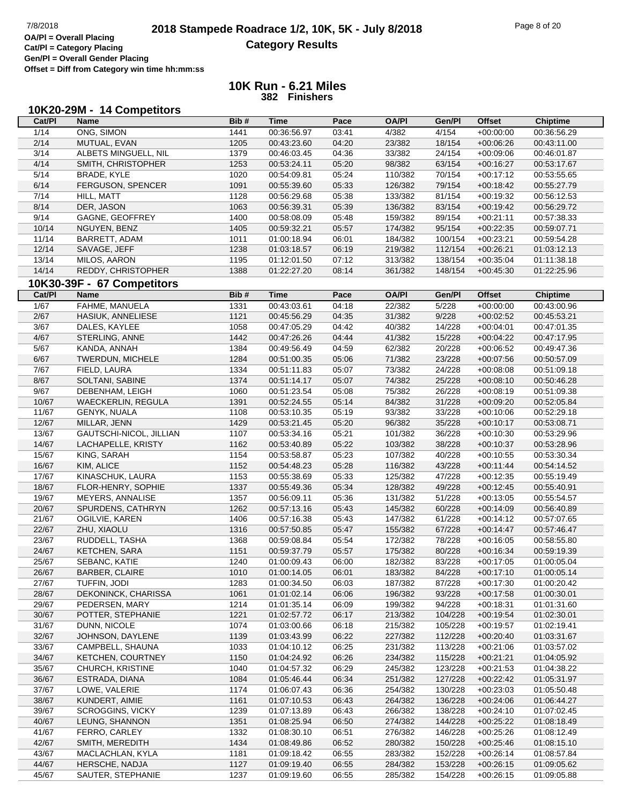# **2018 Stampede Roadrace 1/2, 10K, 5K - July 8/2018** 7/8/2018 Page 8 of 20 **Category Results**

**Cat/Pl = Category Placing Gen/Pl = Overall Gender Placing**

**Offset = Diff from Category win time hh:mm:ss**

|                | 10K20-29M - 14 Competitors             |              |                            |                |                    |                    |                            |                            |
|----------------|----------------------------------------|--------------|----------------------------|----------------|--------------------|--------------------|----------------------------|----------------------------|
| Cat/PI         | <b>Name</b>                            | Bib#         | <b>Time</b>                | Pace           | <b>OA/PI</b>       | Gen/Pl             | <b>Offset</b>              | <b>Chiptime</b>            |
| 1/14           | ONG, SIMON                             | 1441         | 00:36:56.97                | 03:41          | 4/382              | 4/154              | $+00:00:00$                | 00:36:56.29                |
| 2/14           | MUTUAL, EVAN                           | 1205         | 00:43:23.60                | 04:20          | 23/382             | 18/154             | $+00:06:26$                | 00:43:11.00                |
| 3/14           | ALBETS MINGUELL, NIL                   | 1379         | 00:46:03.45                | 04:36          | 33/382             | 24/154             | $+00:09:06$                | 00:46:01.87                |
| 4/14           | SMITH, CHRISTOPHER                     | 1253         | 00:53:24.11                | 05:20          | 98/382             | 63/154             | $+00:16:27$                | 00:53:17.67                |
| 5/14           | BRADE, KYLE                            | 1020         | 00:54:09.81                | 05:24          | 110/382            | 70/154             | $+00:17:12$                | 00:53:55.65                |
| 6/14           | FERGUSON, SPENCER                      | 1091         | 00:55:39.60                | 05:33          | 126/382            | 79/154             | $+00:18:42$                | 00:55:27.79                |
| 7/14           | HILL, MATT                             | 1128         | 00:56:29.68                | 05:38          | 133/382            | 81/154             | $+00:19:32$                | 00:56:12.53                |
| 8/14           | DER, JASON                             | 1063         | 00:56:39.31                | 05:39          | 136/382            | 83/154             | $+00:19:42$                | 00:56:29.72                |
| 9/14           | GAGNE, GEOFFREY                        | 1400         | 00:58:08.09                | 05:48          | 159/382            | 89/154             | $+00:21:11$                | 00:57:38.33                |
| 10/14          | NGUYEN, BENZ                           | 1405         | 00:59:32.21                | 05:57          | 174/382            | 95/154             | $+00:22:35$                | 00:59:07.71                |
| 11/14          | BARRETT, ADAM                          | 1011         | 01:00:18.94                | 06:01          | 184/382            | 100/154            | $+00:23:21$                | 00:59:54.28                |
| 12/14          | SAVAGE, JEFF                           | 1238         | 01:03:18.57                | 06:19          | 219/382            | 112/154            | $+00:26:21$                | 01:03:12.13                |
| 13/14          | MILOS, AARON                           | 1195         | 01:12:01.50                | 07:12          | 313/382            | 138/154            | $+00:35:04$                | 01:11:38.18                |
| 14/14          | REDDY, CHRISTOPHER                     | 1388         | 01:22:27.20                | 08:14          | 361/382            | 148/154            | $+00.45.30$                | 01:22:25.96                |
|                | 10K30-39F - 67 Competitors             |              |                            |                |                    |                    |                            |                            |
| Cat/PI         | Name                                   | Bib#         | <b>Time</b>                | Pace           | <b>OA/PI</b>       | Gen/Pl             | <b>Offset</b>              | <b>Chiptime</b>            |
| $\frac{1}{67}$ | FAHME, MANUELA                         |              |                            | 04:18          | 22/382             | 5/228              | $+00:00:00$                | 00:43:00.96                |
| 2/67           |                                        | 1331         | 00:43:03.61<br>00:45:56.29 |                |                    |                    |                            |                            |
| 3/67           | HASIUK, ANNELIESE<br>DALES, KAYLEE     | 1121<br>1058 | 00:47:05.29                | 04:35<br>04:42 | 31/382<br>40/382   | 9/228<br>14/228    | $+00:02:52$<br>$+00:04:01$ | 00:45:53.21<br>00:47:01.35 |
| 4/67           | STERLING, ANNE                         | 1442         | 00:47:26.26                | 04:44          | 41/382             | 15/228             | $+00:04:22$                | 00:47:17.95                |
|                |                                        |              |                            |                |                    |                    |                            |                            |
| 5/67           | KANDA, ANNAH                           | 1384         | 00:49:56.49<br>00:51:00.35 | 04:59          | 62/382             | 20/228             | $+00:06:52$<br>$+00:07:56$ | 00:49:47.36                |
| 6/67<br>7/67   | TWERDUN, MICHELE                       | 1284         |                            | 05:06          | 71/382             | 23/228             |                            | 00:50:57.09                |
| 8/67           | FIELD, LAURA<br>SOLTANI, SABINE        | 1334         | 00:51:11.83<br>00:51:14.17 | 05:07          | 73/382             | 24/228             | $+00:08:08$                | 00:51:09.18                |
|                |                                        | 1374         |                            | 05:07          | 74/382             | 25/228             | $+00:08:10$<br>$+00:08:19$ | 00:50:46.28<br>00:51:09.38 |
| 9/67           | DEBENHAM, LEIGH                        | 1060         | 00:51:23.54                | 05:08          | 75/382             | 26/228             |                            |                            |
| 10/67<br>11/67 | <b>WAECKERLIN, REGULA</b>              | 1391         | 00:52:24.55                | 05:14          | 84/382             | 31/228             | $+00:09:20$                | 00:52:05.84                |
|                | <b>GENYK, NUALA</b>                    | 1108         | 00:53:10.35                | 05:19          | 93/382             | 33/228             | $+00:10:06$                | 00:52:29.18                |
| 12/67          | MILLAR, JENN                           | 1429         | 00:53:21.45                | 05:20          | 96/382             | 35/228             | $+00:10:17$                | 00:53:08.71                |
| 13/67          | GAUTSCHI-NICOL, JILLIAN                | 1107         | 00:53:34.16                | 05:21          | 101/382            | 36/228             | $+00:10:30$                | 00:53:29.96                |
| 14/67<br>15/67 | LACHAPELLE, KRISTY                     | 1162         | 00:53:40.89                | 05:22          | 103/382            | 38/228             | $+00:10:37$                | 00:53:28.96                |
|                | KING, SARAH                            | 1154         | 00:53:58.87                | 05:23          | 107/382            | 40/228             | $+00:10:55$                | 00:53:30.34                |
| 16/67          | KIM, ALICE<br>KINASCHUK, LAURA         | 1152         | 00:54:48.23                | 05:28          | 116/382            | 43/228             | $+00:11:44$                | 00:54:14.52                |
| 17/67          |                                        | 1153         | 00:55:38.69                | 05:33          | 125/382            | 47/228             | $+00:12:35$                | 00:55:19.49                |
| 18/67<br>19/67 | FLOR-HENRY, SOPHIE<br>MEYERS, ANNALISE | 1337<br>1357 | 00:55:49.36<br>00:56:09.11 | 05:34<br>05:36 | 128/382<br>131/382 | 49/228<br>51/228   | $+00:12:45$<br>$+00:13:05$ | 00:55:40.91<br>00:55:54.57 |
| 20/67          | SPURDENS, CATHRYN                      | 1262         | 00:57:13.16                | 05:43          | 145/382            | 60/228             | $+00:14:09$                | 00:56:40.89                |
| 21/67          | OGILVIE, KAREN                         | 1406         | 00:57:16.38                | 05:43          | 147/382            | 61/228             | $+00:14:12$                | 00:57:07.65                |
| 22/67          | ZHU, XIAOLU                            | 1316         | 00:57:50.85                | 05:47          | 155/382            | 67/228             | $+00.14.47$                | 00:57:46.47                |
| 23/67          | RUDDELL, TASHA                         | 1368         | 00:59:08.84                | 05:54          | 172/382            | 78/228             | $+00:16:05$                | 00:58:55.80                |
| 24/67          | <b>KETCHEN, SARA</b>                   | 1151         | 00:59:37.79                | 05:57          | 175/382            | 80/228             | $+00:16:34$                | 00:59:19.39                |
| 25/67          | SEBANC, KATIE                          | 1240         | 01:00:09.43                | 06:00          | 182/382            | 83/228             | $+00:17:05$                | 01:00:05.04                |
| 26/67          | <b>BARBER, CLAIRE</b>                  | 1010         | 01:00:14.05                | 06:01          |                    | 84/228             | $+00:17:10$                | 01:00:05.14                |
| 27/67          | TUFFIN, JODI                           | 1283         | 01:00:34.50                | 06:03          | 183/382<br>187/382 | 87/228             | $+00:17:30$                | 01:00:20.42                |
| 28/67          | DEKONINCK, CHARISSA                    | 1061         | 01:01:02.14                | 06:06          | 196/382            | 93/228             | $+00:17:58$                | 01:00:30.01                |
| 29/67          | PEDERSEN, MARY                         | 1214         | 01:01:35.14                | 06:09          | 199/382            | 94/228             | $+00:18:31$                | 01:01:31.60                |
| 30/67          | POTTER, STEPHANIE                      | 1221         | 01:02:57.72                | 06:17          |                    | 104/228            | $+00:19:54$                | 01:02:30.01                |
| 31/67          | DUNN, NICOLE                           | 1074         | 01:03:00.66                | 06:18          | 213/382<br>215/382 | 105/228            | $+00:19:57$                | 01:02:19.41                |
| 32/67          | JOHNSON, DAYLENE                       | 1139         | 01:03:43.99                | 06:22          | 227/382            | 112/228            | $+00:20:40$                | 01:03:31.67                |
|                |                                        |              | 01:04:10.12                |                |                    |                    |                            |                            |
| 33/67<br>34/67 | CAMPBELL, SHAUNA<br>KETCHEN, COURTNEY  | 1033<br>1150 | 01:04:24.92                | 06:25<br>06:26 | 231/382<br>234/382 | 113/228<br>115/228 | $+00:21:06$                | 01:03:57.02<br>01:04:05.92 |
|                |                                        |              |                            |                |                    |                    | $+00:21:21$                |                            |
| 35/67          | CHURCH, KRISTINE                       | 1040         | 01:04:57.32                | 06:29          | 245/382            | 123/228<br>127/228 | $+00:21:53$                | 01:04:38.22                |
| 36/67          | ESTRADA, DIANA                         | 1084         | 01:05:46.44                | 06:34          | 251/382            |                    | $+00:22:42$                | 01:05:31.97                |
| 37/67          | LOWE, VALERIE                          | 1174         | 01:06:07.43                | 06:36          | 254/382            | 130/228            | $+00:23:03$                | 01:05:50.48                |
| 38/67          | KUNDERT, AIMIE                         | 1161         | 01:07:10.53                | 06:43          | 264/382            | 136/228            | $+00:24:06$                | 01:06:44.27                |
| 39/67<br>40/67 | <b>SCROGGINS, VICKY</b>                | 1239         | 01:07:13.89                | 06:43          | 266/382            | 138/228            | $+00:24:10$                | 01:07:02.45                |
|                | LEUNG, SHANNON                         | 1351         | 01:08:25.94                | 06:50          | 274/382            | 144/228            | $+00:25:22$                | 01:08:18.49                |
| 41/67<br>42/67 | FERRO, CARLEY<br>SMITH, MEREDITH       | 1332<br>1434 | 01:08:30.10<br>01:08:49.86 | 06:51<br>06:52 | 276/382<br>280/382 | 146/228<br>150/228 | $+00:25:26$<br>$+00:25:46$ | 01:08:12.49<br>01:08:15.10 |
| 43/67          | MACLACHLAN, KYLA                       | 1181         | 01:09:18.42                | 06:55          | 283/382            | 152/228            | $+00:26:14$                | 01:08:57.84                |
| 44/67          | HERSCHE, NADJA                         | 1127         | 01:09:19.40                | 06:55          | 284/382            | 153/228            | $+00:26:15$                | 01:09:05.62                |
| 45/67          | SAUTER, STEPHANIE                      | 1237         | 01:09:19.60                | 06:55          | 285/382            | 154/228            | $+00:26:15$                | 01:09:05.88                |
|                |                                        |              |                            |                |                    |                    |                            |                            |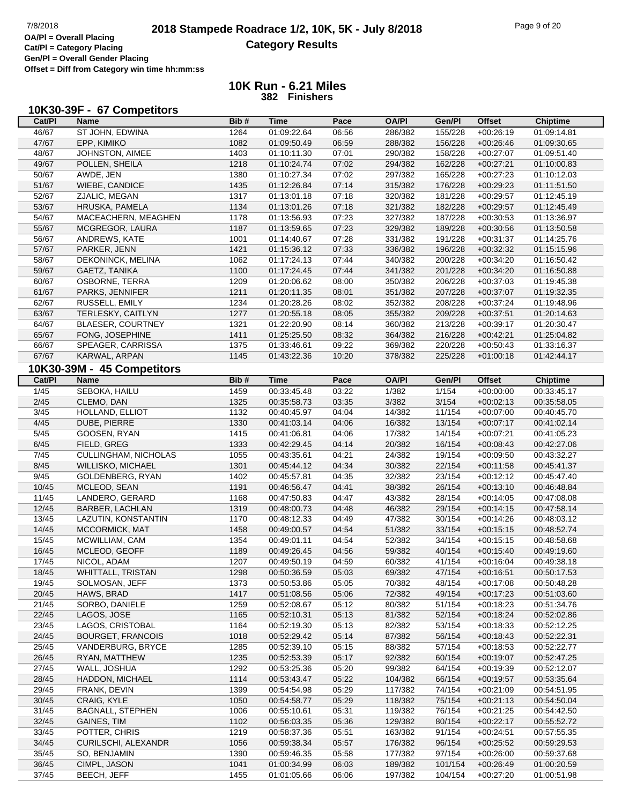# **2018 Stampede Roadrace 1/2, 10K, 5K - July 8/2018** 7/8/2018 Page 9 of 20 **Category Results**

**Cat/Pl = Category Placing Gen/Pl = Overall Gender Placing Offset = Diff from Category win time hh:mm:ss**

|                | 10K30-39F - 67 Competitors |      |             |       |              |         |               |                 |
|----------------|----------------------------|------|-------------|-------|--------------|---------|---------------|-----------------|
| Cat/PI         | <b>Name</b>                | Bib# | <b>Time</b> | Pace  | <b>OA/PI</b> | Gen/Pl  | <b>Offset</b> | <b>Chiptime</b> |
| 46/67          | ST JOHN, EDWINA            | 1264 | 01:09:22.64 | 06:56 | 286/382      | 155/228 | $+00:26:19$   | 01:09:14.81     |
| 47/67          | EPP, KIMIKO                | 1082 | 01:09:50.49 | 06:59 | 288/382      | 156/228 | $+00:26:46$   | 01:09:30.65     |
| 48/67          | JOHNSTON, AIMEE            | 1403 | 01:10:11.30 | 07:01 | 290/382      | 158/228 | $+00:27:07$   | 01:09:51.40     |
| 49/67          | POLLEN, SHEILA             | 1218 | 01:10:24.74 | 07:02 | 294/382      | 162/228 | $+00:27:21$   | 01:10:00.83     |
| 50/67          | AWDE, JEN                  | 1380 | 01:10:27.34 | 07:02 | 297/382      | 165/228 | $+00:27:23$   | 01:10:12.03     |
| 51/67          | WIEBE, CANDICE             | 1435 | 01:12:26.84 | 07:14 | 315/382      | 176/228 | $+00:29:23$   | 01:11:51.50     |
| 52/67          | ZJALIC, MEGAN              | 1317 | 01:13:01.18 | 07:18 | 320/382      | 181/228 | $+00:29:57$   | 01:12:45.19     |
| 53/67          | HRUSKA, PAMELA             | 1134 | 01:13:01.26 | 07:18 | 321/382      | 182/228 | $+00:29:57$   | 01:12:45.49     |
| 54/67          | MACEACHERN, MEAGHEN        | 1178 | 01:13:56.93 | 07:23 | 327/382      | 187/228 | $+00:30:53$   | 01:13:36.97     |
| 55/67          | MCGREGOR, LAURA            | 1187 | 01:13:59.65 | 07:23 | 329/382      | 189/228 | $+00:30:56$   | 01:13:50.58     |
| 56/67          | ANDREWS, KATE              | 1001 | 01:14:40.67 | 07:28 | 331/382      | 191/228 | $+00:31:37$   | 01:14:25.76     |
| 57/67          | PARKER, JENN               | 1421 | 01:15:36.12 | 07:33 | 336/382      | 196/228 | $+00:32:32$   | 01:15:15.96     |
| 58/67          | DEKONINCK, MELINA          | 1062 | 01:17:24.13 | 07:44 | 340/382      | 200/228 | $+00:34:20$   | 01:16:50.42     |
| 59/67          | GAETZ, TANIKA              | 1100 | 01:17:24.45 | 07:44 | 341/382      | 201/228 | $+00:34:20$   | 01:16:50.88     |
| 60/67          | OSBORNE, TERRA             | 1209 | 01:20:06.62 | 08:00 | 350/382      | 206/228 | $+00:37:03$   | 01:19:45.38     |
| 61/67          | PARKS, JENNIFER            | 1211 | 01:20:11.35 | 08:01 | 351/382      | 207/228 | $+00:37:07$   | 01:19:32.35     |
| 62/67          | RUSSELL, EMILY             | 1234 | 01:20:28.26 | 08:02 | 352/382      | 208/228 | $+00:37:24$   | 01:19:48.96     |
| 63/67          | TERLESKY, CAITLYN          | 1277 | 01:20:55.18 | 08:05 | 355/382      | 209/228 | $+00:37:51$   | 01:20:14.63     |
| 64/67          | BLAESER, COURTNEY          | 1321 | 01:22:20.90 | 08:14 | 360/382      | 213/228 | $+00:39:17$   | 01:20:30.47     |
| 65/67          | FONG, JOSEPHINE            | 1411 | 01:25:25.50 | 08:32 | 364/382      | 216/228 | $+00:42:21$   | 01:25:04.82     |
| 66/67          | SPEAGER, CARRISSA          | 1375 | 01:33:46.61 | 09:22 | 369/382      | 220/228 | $+00:50:43$   | 01:33:16.37     |
| 67/67          | KARWAL, ARPAN              | 1145 | 01:43:22.36 | 10:20 | 378/382      | 225/228 | $+01:00:18$   | 01:42:44.17     |
|                |                            |      |             |       |              |         |               |                 |
|                | 10K30-39M - 45 Competitors |      |             |       |              |         |               |                 |
| Cat/PI         | <b>Name</b>                | Bib# | <b>Time</b> | Pace  | <b>OA/PI</b> | Gen/Pl  | <b>Offset</b> | <b>Chiptime</b> |
| $\frac{1}{45}$ | SEBOKA, HAILU              | 1459 | 00:33:45.48 | 03:22 | 1/382        | 1/154   | $+00:00:00$   | 00:33:45.17     |
| 2/45           | CLEMO, DAN                 | 1325 | 00:35:58.73 | 03:35 | 3/382        | 3/154   | $+00:02:13$   | 00:35:58.05     |
| $3/45$         | HOLLAND, ELLIOT            | 1132 | 00:40:45.97 | 04:04 | 14/382       | 11/154  | $+00:07:00$   | 00:40:45.70     |
| 4/45           | DUBE, PIERRE               | 1330 | 00:41:03.14 | 04:06 | 16/382       | 13/154  | $+00:07:17$   | 00:41:02.14     |
| $5/45$         | GOOSEN, RYAN               | 1415 | 00:41:06.81 | 04:06 | 17/382       | 14/154  | $+00:07:21$   | 00:41:05.23     |
| 6/45           | FIELD, GREG                | 1333 | 00:42:29.45 | 04:14 | 20/382       | 16/154  | $+00:08:43$   | 00:42:27.06     |
| $7/45$         | CULLINGHAM, NICHOLAS       | 1055 | 00:43:35.61 | 04:21 | 24/382       | 19/154  | $+00:09:50$   | 00:43:32.27     |
| 8/45           | WILLISKO, MICHAEL          | 1301 | 00:45:44.12 | 04:34 | 30/382       | 22/154  | $+00:11:58$   | 00:45:41.37     |
| 9/45           | GOLDENBERG, RYAN           | 1402 | 00:45:57.81 | 04:35 | 32/382       | 23/154  | $+00:12:12$   | 00:45:47.40     |
| 10/45          | MCLEOD, SEAN               | 1191 | 00:46:56.47 | 04:41 | 38/382       | 26/154  | $+00:13:10$   | 00:46:48.84     |
| 11/45          | LANDERO, GERARD            | 1168 | 00:47:50.83 | 04:47 | 43/382       | 28/154  | $+00:14:05$   | 00:47:08.08     |
| 12/45          | <b>BARBER, LACHLAN</b>     | 1319 | 00:48:00.73 | 04:48 | 46/382       | 29/154  | $+00:14:15$   | 00:47:58.14     |
| 13/45          | LAZUTIN, KONSTANTIN        | 1170 | 00:48:12.33 | 04:49 | 47/382       | 30/154  | $+00:14:26$   | 00:48:03.12     |
| 14/45          | MCCORMICK, MAT             | 1458 | 00:49:00.57 | 04:54 | 51/382       | 33/154  | $+00:15:15$   | 00:48:52.74     |
| 15/45          | MCWILLIAM, CAM             | 1354 | 00:49:01.11 | 04:54 | 52/382       | 34/154  | $+00:15:15$   | 00:48:58.68     |
| 16/45          | MCLEOD, GEOFF              | 1189 | 00:49:26.45 | 04:56 | 59/382       | 40/154  | $+00:15:40$   | 00:49:19.60     |
| 17/45          | NICOL, ADAM                | 1207 | 00:49:50.19 | 04:59 | 60/382       | 41/154  | $+00:16:04$   | 00:49:38.18     |
| 18/45          | <b>WHITTALL, TRISTAN</b>   | 1298 | 00:50:36.59 | 05:03 | 69/382       | 47/154  | $+00:16:51$   | 00:50:17.53     |
| 19/45          | SOLMOSAN, JEFF             | 1373 | 00:50:53.86 | 05:05 | 70/382       | 48/154  | $+00:17:08$   | 00:50:48.28     |
| 20/45          | HAWS, BRAD                 | 1417 | 00:51:08.56 | 05:06 | 72/382       | 49/154  | $+00:17:23$   | 00:51:03.60     |
| 21/45          | SORBO, DANIELE             | 1259 | 00:52:08.67 | 05:12 | 80/382       | 51/154  | $+00:18:23$   | 00:51:34.76     |
| 22/45          | LAGOS, JOSE                | 1165 | 00:52:10.31 | 05:13 | 81/382       | 52/154  | $+00:18:24$   | 00:52:02.86     |
| 23/45          | LAGOS, CRISTOBAL           | 1164 | 00:52:19.30 | 05:13 | 82/382       | 53/154  | $+00:18:33$   | 00:52:12.25     |
| 24/45          | <b>BOURGET, FRANCOIS</b>   | 1018 | 00:52:29.42 | 05:14 | 87/382       | 56/154  | $+00:18:43$   | 00:52:22.31     |
| 25/45          | VANDERBURG, BRYCE          | 1285 | 00:52:39.10 | 05:15 | 88/382       | 57/154  | $+00:18:53$   | 00:52:22.77     |
| 26/45          | RYAN, MATTHEW              | 1235 | 00:52:53.39 | 05:17 | 92/382       | 60/154  | $+00:19:07$   | 00:52:47.25     |
| 27/45          | WALL, JOSHUA               | 1292 | 00:53:25.36 | 05:20 | 99/382       | 64/154  | $+00:19:39$   | 00:52:12.07     |
| 28/45          | HADDON, MICHAEL            | 1114 | 00:53:43.47 | 05:22 | 104/382      | 66/154  | $+00.19.57$   | 00:53:35.64     |
| 29/45          | FRANK, DEVIN               | 1399 | 00:54:54.98 | 05:29 | 117/382      | 74/154  | $+00:21:09$   | 00:54:51.95     |
| 30/45          | CRAIG, KYLE                | 1050 | 00:54:58.77 | 05:29 | 118/382      | 75/154  | $+00:21:13$   | 00:54:50.04     |
| 31/45          | <b>BAGNALL, STEPHEN</b>    | 1006 | 00:55:10.61 | 05:31 | 119/382      | 76/154  | $+00:21:25$   | 00:54:42.50     |
| 32/45          | GAINES, TIM                | 1102 | 00:56:03.35 | 05:36 | 129/382      | 80/154  | $+00:22:17$   | 00:55:52.72     |
| 33/45          | POTTER, CHRIS              | 1219 | 00:58:37.36 | 05:51 | 163/382      | 91/154  | $+00:24:51$   | 00:57:55.35     |
| 34/45          | CURILSCHI, ALEXANDR        | 1056 | 00:59:38.34 | 05:57 | 176/382      | 96/154  | $+00:25:52$   | 00:59:29.53     |
| 35/45          | SO, BENJAMIN               | 1390 | 00:59:46.35 | 05:58 | 177/382      | 97/154  | $+00:26:00$   | 00:59:37.68     |
| 36/45          | CIMPL, JASON               | 1041 | 01:00:34.99 | 06:03 | 189/382      | 101/154 | $+00:26:49$   | 01:00:20.59     |
| 37/45          | BEECH, JEFF                | 1455 | 01:01:05.66 | 06:06 | 197/382      | 104/154 | $+00:27:20$   | 01:00:51.98     |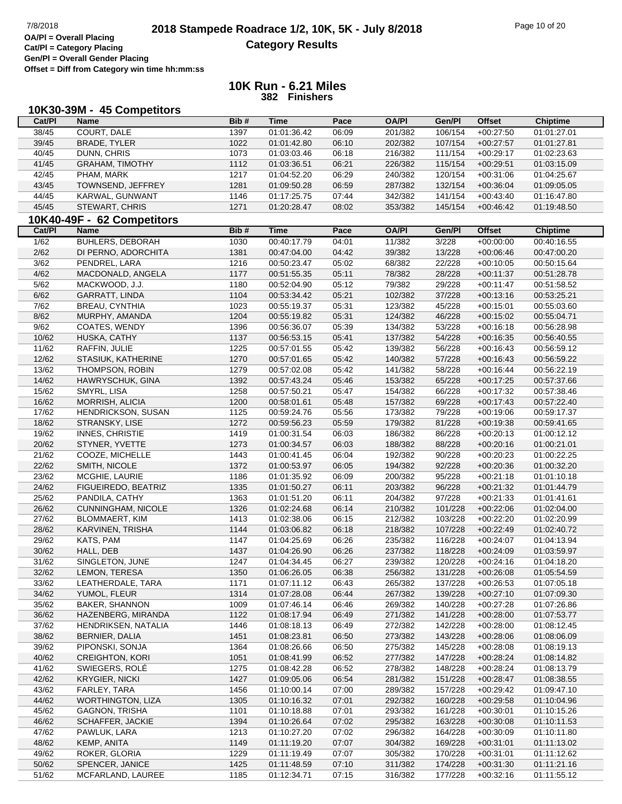**Cat/Pl = Category Placing Gen/Pl = Overall Gender Placing Offset = Diff from Category win time hh:mm:ss**

|                | 10K30-39M - 45 Competitors                |              |                            |                |                    |                    |                            |                            |
|----------------|-------------------------------------------|--------------|----------------------------|----------------|--------------------|--------------------|----------------------------|----------------------------|
| Cat/PI         | <b>Name</b>                               | Bib#         | <b>Time</b>                | Pace           | <b>OA/PI</b>       | Gen/Pl             | <b>Offset</b>              | <b>Chiptime</b>            |
| 38/45          | <b>COURT, DALE</b>                        | 1397         | 01:01:36.42                | 06:09          | 201/382            | 106/154            | $+00:27:50$                | 01:01:27.01                |
| 39/45          | <b>BRADE, TYLER</b>                       | 1022         | 01:01:42.80                | 06:10          | 202/382            | 107/154            | $+00:27:57$                | 01:01:27.81                |
| 40/45          | DUNN, CHRIS                               | 1073         | 01:03:03.46                | 06:18          | 216/382            | 111/154            | $+00:29:17$                | 01:02:23.63                |
| 41/45          | <b>GRAHAM, TIMOTHY</b>                    | 1112         | 01:03:36.51                | 06:21          | 226/382            | 115/154            | $+00:29:51$                | 01:03:15.09                |
| 42/45          | PHAM, MARK                                | 1217         | 01:04:52.20                | 06:29          | 240/382            | 120/154            | $+00:31:06$                | 01:04:25.67                |
| 43/45          | TOWNSEND, JEFFREY                         | 1281         | 01:09:50.28                | 06:59          | 287/382            | 132/154            | $+00:36:04$                | 01:09:05.05                |
| 44/45          | KARWAL, GUNWANT                           | 1146         | 01:17:25.75                | 07:44          | 342/382            | 141/154            | $+00:43:40$                | 01:16:47.80                |
| 45/45          | STEWART, CHRIS                            | 1271         | 01:20:28.47                | 08:02          | 353/382            | 145/154            | $+00:46:42$                | 01:19:48.50                |
|                | 10K40-49F - 62 Competitors                |              |                            |                |                    |                    |                            |                            |
| Cat/PI         | <b>Name</b>                               | Bib#         | <b>Time</b>                | Pace           | <b>OA/PI</b>       | Gen/Pl             | <b>Offset</b>              | <b>Chiptime</b>            |
| $\frac{1}{62}$ | <b>BUHLERS, DEBORAH</b>                   | 1030         | 00:40:17.79                | 04:01          | 11/382             | 3/228              | $+00:00:00$                | 00:40:16.55                |
| 2/62           | DI PERNO, ADORCHITA                       | 1381         | 00:47:04.00                | 04:42          | 39/382             | 13/228             | $+00:06:46$                | 00:47:00.20                |
| 3/62           | PENDREL, LARA                             | 1216         | 00:50:23.47                | 05:02          | 68/382             | 22/228             | $+00:10:05$                | 00:50:15.64                |
| 4/62           | MACDONALD, ANGELA                         | 1177         | 00:51:55.35                | 05:11          | 78/382             | 28/228             | $+00:11:37$                | 00:51:28.78                |
| 5/62           | MACKWOOD, J.J.                            | 1180         | 00:52:04.90                | 05:12          | 79/382             | 29/228             | $+00:11:47$                | 00:51:58.52                |
| 6/62           | <b>GARRATT, LINDA</b>                     | 1104         | 00:53:34.42                | 05:21          | 102/382            | 37/228             | $+00:13:16$                | 00:53:25.21                |
| 7/62           | <b>BREAU, CYNTHIA</b>                     | 1023         | 00:55:19.37                | 05:31          | 123/382            | 45/228             | $+00:15:01$                | 00:55:03.60                |
| 8/62           | MURPHY, AMANDA                            | 1204         | 00:55:19.82                | 05:31          | 124/382            | 46/228             | $+00:15:02$                | 00:55:04.71                |
| 9/62           | COATES, WENDY                             | 1396         | 00:56:36.07                | 05:39          | 134/382            | 53/228             | $+00:16:18$                | 00:56:28.98                |
| 10/62          | HUSKA, CATHY                              | 1137         | 00:56:53.15                | 05:41          | 137/382            | 54/228             | $+00:16:35$                | 00:56:40.55                |
| 11/62          | RAFFIN, JULIE                             | 1225         | 00:57:01.55                | 05:42          | 139/382            | 56/228             | $+00:16:43$                | 00:56:59.12                |
| 12/62          | STASIUK, KATHERINE                        | 1270         | 00:57:01.65                | 05:42          | 140/382            | 57/228             | $+00:16:43$                | 00:56:59.22                |
| 13/62          | THOMPSON, ROBIN                           | 1279         | 00:57:02.08                | 05:42          | 141/382            | 58/228             | $+00:16:44$                | 00:56:22.19                |
| 14/62          | HAWRYSCHUK, GINA                          | 1392         | 00:57:43.24                | 05:46          | 153/382            | 65/228             | $+00:17:25$                | 00:57:37.66                |
| 15/62          | SMYRL, LISA                               | 1258         | 00:57:50.21                | 05:47          | 154/382            | 66/228             | $+00:17:32$                | 00:57:38.46                |
| 16/62          | <b>MORRISH, ALICIA</b>                    | 1200         | 00:58:01.61                | 05:48          | 157/382            | 69/228             | $+00:17:43$                | 00:57:22.40                |
| 17/62          | HENDRICKSON, SUSAN                        | 1125         | 00:59:24.76                | 05:56          | 173/382            | 79/228             | $+00:19:06$                | 00:59:17.37                |
| 18/62          | STRANSKY, LISE                            | 1272         | 00:59:56.23                | 05:59          | 179/382            | 81/228             | $+00:19:38$                | 00:59:41.65                |
| 19/62          | <b>INNES, CHRISTIE</b>                    | 1419         | 01:00:31.54                | 06:03          | 186/382            | 86/228             | $+00:20:13$                | 01:00:12.12                |
| 20/62          | STYNER, YVETTE                            | 1273         | 01:00:34.57                | 06:03          | 188/382            | 88/228             | $+00:20:16$                | 01:00:21.01                |
| 21/62          | COOZE, MICHELLE                           | 1443         | 01:00:41.45                | 06:04          | 192/382            | 90/228             | $+00:20:23$                | 01:00:22.25                |
| 22/62          | SMITH, NICOLE                             | 1372         | 01:00:53.97                | 06:05          | 194/382            | 92/228             | $+00:20:36$                | 01:00:32.20                |
| 23/62          | MCGHIE, LAURIE                            | 1186         | 01:01:35.92                | 06:09          | 200/382            | 95/228             | $+00:21:18$                | 01:01:10.18                |
| 24/62          | FIGUEIREDO, BEATRIZ                       | 1335         | 01:01:50.27                | 06:11          | 203/382            | 96/228             | $+00:21:32$                | 01:01:44.79                |
| 25/62          | PANDILA, CATHY                            | 1363         | 01:01:51.20                | 06:11          | 204/382            | 97/228             | $+00:21:33$                | 01:01:41.61                |
| 26/62          | <b>CUNNINGHAM, NICOLE</b>                 | 1326         | 01:02:24.68                | 06:14          | 210/382            | 101/228            | $+00:22:06$                | 01:02:04.00                |
| 27/62          | <b>BLOMMAERT, KIM</b><br>KARVINEN, TRISHA | 1413         | 01:02:38.06<br>01:03:06.82 | 06:15          | 212/382            | 103/228            | $+00:22:20$                | 01:02:20.99<br>01:02:40.72 |
| 28/62<br>29/62 |                                           | 1144<br>1147 | 01:04:25.69                | 06:18<br>06:26 | 218/382<br>235/382 | 107/228<br>116/228 | $+00:22:49$<br>$+00:24:07$ | 01:04:13.94                |
| 30/62          | KATS, PAM<br>HALL, DEB                    | 1437         | 01:04:26.90                | 06:26          | 237/382            | 118/228            | $+00:24:09$                | 01:03:59.97                |
| 31/62          | SINGLETON, JUNE                           | 1247         | 01:04:34.45                | 06:27          | 239/382            | 120/228            | $+00:24:16$                | 01:04:18.20                |
| 32/62          | LEMON, TERESA                             | 1350         | 01:06:26.05                | 06:38          | 256/382            | 131/228            | $+00:26:08$                | 01:05:54.59                |
| 33/62          | LEATHERDALE, TARA                         | 1171         | 01:07:11.12                | 06:43          | 265/382            | 137/228            | $+00:26:53$                | 01:07:05.18                |
| 34/62          | YUMOL, FLEUR                              | 1314         | 01:07:28.08                | 06:44          | 267/382            | 139/228            | $+00:27:10$                | 01:07:09.30                |
| 35/62          | <b>BAKER, SHANNON</b>                     | 1009         | 01:07:46.14                | 06:46          | 269/382            | 140/228            | $+00:27:28$                | 01:07:26.86                |
| 36/62          | HAZENBERG, MIRANDA                        | 1122         | 01:08:17.94                | 06:49          | 271/382            | 141/228            | $+00:28:00$                | 01:07:53.77                |
| 37/62          | HENDRIKSEN, NATALIA                       | 1446         | 01:08:18.13                | 06:49          | 272/382            | 142/228            | $+00:28:00$                | 01:08:12.45                |
| 38/62          | BERNIER, DALIA                            | 1451         | 01:08:23.81                | 06:50          | 273/382            | 143/228            | $+00:28:06$                | 01:08:06.09                |
| 39/62          | PIPONSKI, SONJA                           | 1364         | 01:08:26.66                | 06:50          | 275/382            | 145/228            | $+00:28:08$                | 01:08:19.13                |
| 40/62          | <b>CREIGHTON, KORI</b>                    | 1051         | 01:08:41.99                | 06:52          | 277/382            | 147/228            | $+00:28:24$                | 01:08:14.82                |
| 41/62          | SWIEGERS, ROLÉ                            | 1275         | 01:08:42.28                | 06:52          | 278/382            | 148/228            | $+00:28:24$                | 01:08:13.79                |
| 42/62          | <b>KRYGIER, NICKI</b>                     | 1427         | 01:09:05.06                | 06:54          | 281/382            | 151/228            | $+00:28:47$                | 01:08:38.55                |
| 43/62          | FARLEY, TARA                              | 1456         | 01:10:00.14                | 07:00          | 289/382            | 157/228            | $+00:29:42$                | 01:09:47.10                |
| 44/62          | <b>WORTHINGTON, LIZA</b>                  | 1305         | 01:10:16.32                | 07:01          | 292/382            | 160/228            | $+00:29:58$                | 01:10:04.96                |
| 45/62          | <b>GAGNON, TRISHA</b>                     | 1101         | 01:10:18.88                | 07:01          | 293/382            | 161/228            | $+00:30:01$                | 01:10:15.26                |
| 46/62          | <b>SCHAFFER, JACKIE</b>                   | 1394         | 01:10:26.64                | 07:02          | 295/382            | 163/228            | $+00:30:08$                | 01:10:11.53                |
| 47/62          | PAWLUK, LARA                              | 1213         | 01:10:27.20                | 07:02          | 296/382            | 164/228            | $+00:30:09$                | 01:10:11.80                |
| 48/62          | KEMP, ANITA                               | 1149         | 01:11:19.20                | 07:07          | 304/382            | 169/228            | $+00:31:01$                | 01:11:13.02                |
| 49/62          | ROKER, GLORIA                             | 1229         | 01:11:19.49                | 07:07          | 305/382            | 170/228            | $+00:31:01$                | 01:11:12.62                |
| 50/62          | SPENCER, JANICE                           | 1425         | 01:11:48.59                | 07:10          | 311/382            | 174/228            | $+00:31:30$                | 01:11:21.16                |
| 51/62          | MCFARLAND, LAUREE                         | 1185         | 01:12:34.71                | 07:15          | 316/382            | 177/228            | $+00:32:16$                | 01:11:55.12                |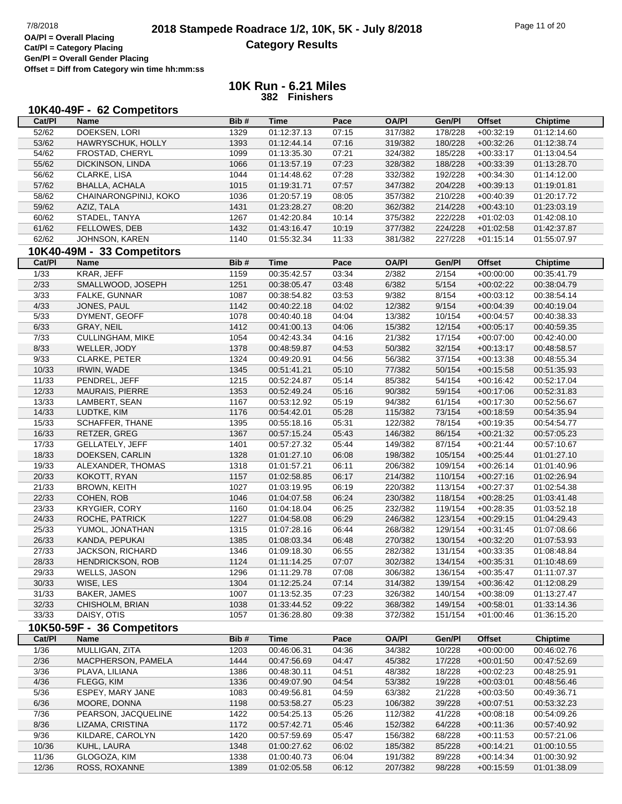### **2018 Stampede Roadrace 1/2, 10K, 5K - July 8/2018** Page 11 of 20<br> **OA/PI** = Overall Placing **2018 Stampede Roadrace 1/2, 10K, 5K - July 8/2018 Category Results**

**Cat/Pl = Category Placing Gen/Pl = Overall Gender Placing Offset = Diff from Category win time hh:mm:ss**

|                | 10K40-49F - 62 Competitors        |              |                            |                |                    |                    |                            |                            |
|----------------|-----------------------------------|--------------|----------------------------|----------------|--------------------|--------------------|----------------------------|----------------------------|
| Cat/PI         | <b>Name</b>                       | Bib#         | <b>Time</b>                | Pace           | <b>OA/PI</b>       | Gen/Pl             | <b>Offset</b>              | <b>Chiptime</b>            |
| 52/62          | <b>DOEKSEN, LORI</b>              | 1329         | 01:12:37.13                | 07:15          | 317/382            | 178/228            | $+00:32:19$                | 01:12:14.60                |
| 53/62          | HAWRYSCHUK, HOLLY                 | 1393         | 01:12:44.14                | 07:16          | 319/382            | 180/228            | $+00:32:26$                | 01:12:38.74                |
| 54/62          | FROSTAD, CHERYL                   | 1099         | 01:13:35.30                | 07:21          | 324/382            | 185/228            | $+00:33:17$                | 01:13:04.54                |
| 55/62          | DICKINSON, LINDA                  | 1066         | 01:13:57.19                | 07:23          | 328/382            | 188/228            | $+00:33:39$                | 01:13:28.70                |
| 56/62          | CLARKE, LISA                      | 1044         | 01:14:48.62                | 07:28          | 332/382            | 192/228            | $+00:34:30$                | 01:14:12.00                |
| 57/62          | BHALLA, ACHALA                    | 1015         | 01:19:31.71                | 07:57          | 347/382            | 204/228            | $+00:39:13$                | 01:19:01.81                |
| 58/62          | CHAINARONGPINIJ, KOKO             | 1036         | 01:20:57.19                | 08:05          | 357/382            | 210/228            | $+00:40:39$                | 01:20:17.72                |
| 59/62          | AZIZ, TALA                        | 1431         | 01:23:28.27                | 08:20          | 362/382            | 214/228            | $+00:43:10$                | 01:23:03.19                |
| 60/62          | STADEL, TANYA                     | 1267         | 01:42:20.84                | 10:14          | 375/382            | 222/228            | $+01:02:03$                | 01:42:08.10                |
| 61/62          | FELLOWES, DEB                     | 1432         | 01:43:16.47                | 10:19          | 377/382            | 224/228            | $+01:02:58$                | 01:42:37.87                |
| 62/62          | JOHNSON, KAREN                    | 1140         | 01:55:32.34                | 11:33          | 381/382            | 227/228            | $+01:15:14$                | 01:55:07.97                |
|                | 10K40-49M - 33 Competitors        |              |                            |                |                    |                    |                            |                            |
| Cat/PI         | <b>Name</b>                       | Bib#         | <b>Time</b>                | Pace           | <b>OA/PI</b>       | Gen/Pl             | <b>Offset</b>              | <b>Chiptime</b>            |
| 1/33           | <b>KRAR, JEFF</b>                 | 1159         | 00:35:42.57                | 03:34          | 2/382              | 2/154              | $+00:00:00$                | 00:35:41.79                |
| 2/33           | SMALLWOOD, JOSEPH                 | 1251         | 00:38:05.47                | 03:48          | 6/382              | 5/154              | $+00:02:22$                | 00:38:04.79                |
| $3/33$         | FALKE, GUNNAR                     | 1087         | 00:38:54.82                | 03:53          | 9/382              | 8/154              | $+00:03:12$                | 00:38:54.14                |
| 4/33           | JONES, PAUL                       | 1142         | 00:40:22.18                | 04:02          | 12/382             | 9/154              | $+00:04:39$                | 00:40:19.04                |
| 5/33           | DYMENT, GEOFF                     | 1078         | 00:40:40.18                | 04:04          | 13/382             | 10/154             | $+00:04:57$                | 00:40:38.33                |
| 6/33           | GRAY, NEIL                        | 1412         | 00:41:00.13                | 04:06          | 15/382             | 12/154             | $+00:05:17$                | 00:40:59.35                |
| 7/33           | CULLINGHAM, MIKE                  | 1054         | 00:42:43.34                | 04:16          | 21/382             | 17/154             | $+00:07:00$                | 00:42:40.00                |
| 8/33           | WELLER, JODY                      | 1378         | 00:48:59.87                | 04:53          | 50/382             | 32/154             | $+00:13:17$                | 00:48:58.57                |
| 9/33           | <b>CLARKE, PETER</b>              | 1324         | 00:49:20.91                | 04:56          | 56/382             | 37/154             | $+00:13:38$                | 00:48:55.34                |
| 10/33          | <b>IRWIN, WADE</b>                | 1345         | 00:51:41.21                | 05:10          | 77/382             | 50/154             | $+00:15:58$                | 00:51:35.93                |
| 11/33          | PENDREL, JEFF                     | 1215         | 00:52:24.87                | 05:14          | 85/382             | 54/154             | $+00:16:42$                | 00:52:17.04                |
| 12/33          | <b>MAURAIS, PIERRE</b>            | 1353         | 00:52:49.24                | 05:16          | 90/382             | 59/154             | $+00:17:06$                | 00:52:31.83                |
| 13/33          | LAMBERT, SEAN                     | 1167         | 00:53:12.92                | 05:19          | 94/382             | 61/154             | $+00:17:30$                | 00:52:56.67                |
| 14/33          | LUDTKE, KIM                       | 1176         | 00:54:42.01                | 05:28          | 115/382            | 73/154             | $+00:18:59$                | 00:54:35.94                |
| 15/33          | <b>SCHAFFER, THANE</b>            | 1395         | 00:55:18.16                | 05:31          | 122/382            | 78/154             | $+00:19:35$                | 00:54:54.77                |
| 16/33          | RETZER, GREG                      | 1367         | 00:57:15.24                | 05:43          | 146/382            | 86/154             | $+00:21:32$                | 00:57:05.23                |
| 17/33          | GELLATELY, JEFF                   | 1401         | 00:57:27.32                | 05:44          | 149/382            | 87/154             | $+00:21:44$                | 00:57:10.67                |
| 18/33          | DOEKSEN, CARLIN                   | 1328         | 01:01:27.10                | 06:08          | 198/382            | 105/154            | $+00:25:44$                | 01:01:27.10                |
| 19/33<br>20/33 | ALEXANDER, THOMAS<br>KOKOTT, RYAN | 1318<br>1157 | 01:01:57.21<br>01:02:58.85 | 06:11<br>06:17 | 206/382<br>214/382 | 109/154<br>110/154 | $+00:26:14$<br>$+00:27:16$ | 01:01:40.96<br>01:02:26.94 |
| 21/33          | <b>BROWN, KEITH</b>               | 1027         | 01:03:19.95                | 06:19          | 220/382            | 113/154            | $+00:27:37$                | 01:02:54.38                |
| 22/33          | COHEN, ROB                        | 1046         | 01:04:07.58                | 06:24          | 230/382            | 118/154            | $+00:28:25$                | 01:03:41.48                |
| 23/33          | <b>KRYGIER, CORY</b>              | 1160         | 01:04:18.04                | 06:25          | 232/382            | 119/154            | $+00:28:35$                | 01:03:52.18                |
| 24/33          | ROCHE, PATRICK                    | 1227         | 01:04:58.08                | 06:29          | 246/382            | 123/154            | $+00:29:15$                | 01:04:29.43                |
| 25/33          | YUMOL, JONATHAN                   | 1315         | 01:07:28.16                | 06:44          | 268/382            | 129/154            | $+00:31:45$                | 01:07:08.66                |
| 26/33          | KANDA, PEPUKAI                    | 1385         | 01:08:03.34                | 06:48          | 270/382            | 130/154            | $+00:32:20$                | 01:07:53.93                |
| 27/33          | JACKSON, RICHARD                  | 1346         | 01:09:18.30                | 06:55          | 282/382            | 131/154            | $+00:33:35$                | 01:08:48.84                |
| 28/33          | <b>HENDRICKSON, ROB</b>           | 1124         | 01:11:14.25                | 07:07          | 302/382            | 134/154            | $+00:35:31$                | 01:10:48.69                |
| 29/33          | WELLS, JASON                      | 1296         | 01:11:29.78                | 07:08          | 306/382            | 136/154            | $+00:35:47$                | 01:11:07.37                |
| 30/33          | WISE, LES                         | 1304         | 01:12:25.24                | 07:14          | 314/382            | 139/154            | $+00:36:42$                | 01:12:08.29                |
| 31/33          | BAKER, JAMES                      | 1007         | 01:13:52.35                | 07:23          | 326/382            | 140/154            | $+00:38:09$                | 01:13:27.47                |
| 32/33          | CHISHOLM, BRIAN                   | 1038         | 01:33:44.52                | 09:22          | 368/382            | 149/154            | $+00:58:01$                | 01:33:14.36                |
| 33/33          | DAISY, OTIS                       | 1057         | 01:36:28.80                | 09:38          | 372/382            | 151/154            | $+01:00:46$                | 01:36:15.20                |
|                | 10K50-59F - 36 Competitors        |              |                            |                |                    |                    |                            |                            |
| Cat/PI         | <b>Name</b>                       | Bib#         | <b>Time</b>                | Pace           | <b>OA/PI</b>       | Gen/Pl             | <b>Offset</b>              | <b>Chiptime</b>            |
| 1/36           | MULLIGAN, ZITA                    | 1203         | 00:46:06.31                | 04:36          | 34/382             | 10/228             | $+00:00:00$                | 00:46:02.76                |
| 2/36           | MACPHERSON, PAMELA                | 1444         | 00:47:56.69                | 04:47          | 45/382             | 17/228             | $+00:01:50$                | 00:47:52.69                |
| 3/36           | PLAVA, LILIANA                    | 1386         | 00:48:30.11                | 04:51          | 48/382             | 18/228             | $+00:02:23$                | 00:48:25.91                |
| 4/36           | FLEGG, KIM                        | 1336         | 00:49:07.90                | 04:54          | 53/382             | 19/228             | $+00:03:01$                | 00:48:56.46                |
| 5/36           | ESPEY, MARY JANE                  | 1083         | 00:49:56.81                | 04:59          | 63/382             | 21/228             | $+00:03:50$                | 00:49:36.71                |
| 6/36           | MOORE, DONNA                      | 1198         | 00:53:58.27                | 05:23          | 106/382            | 39/228             | $+00:07:51$                | 00:53:32.23                |
| 7/36           | PEARSON, JACQUELINE               | 1422         | 00:54:25.13                | 05:26          | 112/382            | 41/228             | $+00:08:18$                | 00:54:09.26                |
| 8/36           | LIZAMA, CRISTINA                  | 1172         | 00:57:42.71                | 05:46          | 152/382            | 64/228             | $+00:11:36$                | 00:57:40.92                |
| 9/36           | KILDARE, CAROLYN                  | 1420         | 00:57:59.69                | 05:47          | 156/382            | 68/228             | $+00:11:53$                | 00:57:21.06                |
| 10/36          | KUHL, LAURA                       | 1348         | 01:00:27.62                | 06:02          | 185/382            | 85/228             | $+00:14:21$                | 01:00:10.55                |
| 11/36          | GLOGOZA, KIM                      | 1338         | 01:00:40.73                | 06:04          | 191/382            | 89/228             | $+00:14:34$                | 01:00:30.92                |
| 12/36          | ROSS, ROXANNE                     | 1389         | 01:02:05.58                | 06:12          | 207/382            | 98/228             | $+00:15:59$                | 01:01:38.09                |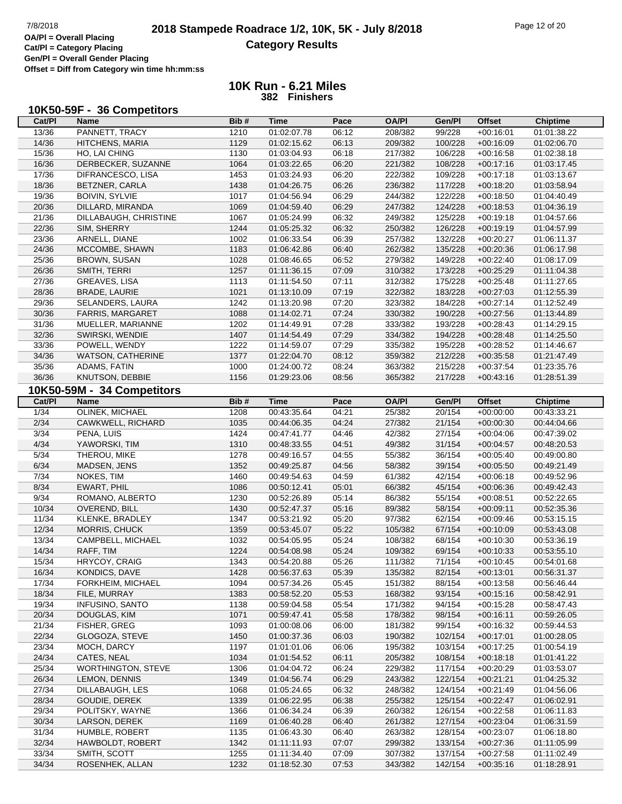**Cat/Pl = Category Placing Gen/Pl = Overall Gender Placing Offset = Diff from Category win time hh:mm:ss**

| Cat/PI<br>Bib#<br><b>Time</b><br>Pace<br><b>OA/PI</b><br>Gen/Pl<br>Offset<br><b>Chiptime</b><br>Name<br>13/36<br>PANNETT, TRACY<br>06:12<br>1210<br>01:02:07.78<br>208/382<br>99/228<br>$+00:16:01$<br>01:01:38.22<br>14/36<br>HITCHENS, MARIA<br>06:13<br>100/228<br>1129<br>01:02:15.62<br>209/382<br>$+00:16:09$<br>01:02:06.70<br>15/36<br>06:18<br>106/228<br>HO, LAI CHING<br>1130<br>01:03:04.93<br>217/382<br>$+00:16:58$<br>01:02:38.18<br>16/36<br>DERBECKER, SUZANNE<br>1064<br>06:20<br>01:03:22.65<br>221/382<br>108/228<br>$+00:17:16$<br>01:03:17.45<br>17/36<br>1453<br>06:20<br>109/228<br>DIFRANCESCO, LISA<br>01:03:24.93<br>222/382<br>$+00:17:18$<br>01:03:13.67<br>18/36<br>117/228<br>BETZNER, CARLA<br>1438<br>01:04:26.75<br>06:26<br>236/382<br>$+00:18:20$<br>01:03:58.94<br>19/36<br>1017<br>06:29<br>122/228<br><b>BOIVIN, SYLVIE</b><br>01:04:56.94<br>244/382<br>$+00:18:50$<br>01:04:40.49<br>20/36<br>1069<br>06:29<br>247/382<br>124/228<br>DILLARD, MIRANDA<br>01:04:59.40<br>$+00:18:53$<br>01:04:36.19<br>21/36<br>1067<br>01:05:24.99<br>06:32<br>125/228<br>01:04:57.66<br>DILLABAUGH, CHRISTINE<br>249/382<br>$+00:19:18$<br>22/36<br>1244<br>06:32<br>126/228<br>SIM, SHERRY<br>01:05:25.32<br>250/382<br>$+00:19:19$<br>01:04:57.99<br>23/36<br>1002<br>06:39<br>257/382<br>132/228<br>ARNELL, DIANE<br>01:06:33.54<br>$+00:20:27$<br>01:06:11.37<br>24/36<br>1183<br>MCCOMBE, SHAWN<br>01:06:42.86<br>06:40<br>262/382<br>135/228<br>$+00:20:36$<br>01:06:17.98<br>25/36<br>1028<br>06:52<br>149/228<br>$+00:22:40$<br><b>BROWN, SUSAN</b><br>01:08:46.65<br>279/382<br>01:08:17.09<br>26/36<br>07:09<br>173/228<br>SMITH, TERRI<br>1257<br>01:11:36.15<br>310/382<br>$+00:25:29$<br>01:11:04.38<br>27/36<br>1113<br>07:11<br>175/228<br>GREAVES, LISA<br>01:11:54.50<br>312/382<br>$+00:25:48$<br>01:11:27.65<br>28/36<br><b>BRADE, LAURIE</b><br>1021<br>07:19<br>01:13:10.09<br>322/382<br>183/228<br>$+00:27:03$<br>01:12:55.39<br>29/36<br>1242<br>07:20<br>323/382<br>184/228<br>$+00:27:14$<br>01:12:52.49<br>SELANDERS, LAURA<br>01:13:20.98<br>30/36<br>1088<br>07:24<br>190/228<br>FARRIS, MARGARET<br>01:14:02.71<br>330/382<br>$+00:27:56$<br>01:13:44.89<br>31/36<br>1202<br>07:28<br>333/382<br>193/228<br>$+00:28:43$<br>MUELLER, MARIANNE<br>01:14:49.91<br>01:14:29.15<br>32/36<br>1407<br>07:29<br>SWIRSKI, WENDIE<br>01:14:54.49<br>334/382<br>194/228<br>$+00:28:48$<br>01:14:25.50<br>33/36<br>1222<br>07:29<br>335/382<br>195/228<br>$+00:28:52$<br>POWELL, WENDY<br>01:14:59.07<br>01:14:46.67<br>34/36<br>08:12<br>212/228<br><b>WATSON, CATHERINE</b><br>1377<br>01:22:04.70<br>359/382<br>$+00:35:58$<br>01:21:47.49<br>35/36<br>ADAMS, FATIN<br>1000<br>08:24<br>363/382<br>215/228<br>$+00:37:54$<br>01:23:35.76<br>01:24:00.72<br>36/36<br>KNUTSON, DEBBIE<br>1156<br>01:29:23.06<br>08:56<br>365/382<br>217/228<br>$+00:43:16$<br>01:28:51.39<br>10K50-59M - 34 Competitors<br>Cat/PI<br><b>Time</b><br>Pace<br><b>OA/PI</b><br>Gen/Pl<br><b>Offset</b><br>Name<br>Bib#<br><b>Chiptime</b><br>1/34<br>OLINEK, MICHAEL<br>1208<br>00:43:35.64<br>04:21<br>25/382<br>20/154<br>$+00:00:00$<br>00:43:33.21<br>2/34<br>1035<br>04:24<br>27/382<br>21/154<br>00:44:04.66<br>CAWKWELL, RICHARD<br>00:44:06.35<br>$+00:00:30$<br>3/34<br>1424<br>04:46<br>42/382<br>27/154<br>00:47:39.02<br>PENA, LUIS<br>00:47:41.77<br>$+00:04:06$<br>4/34<br>04:51<br>49/382<br>31/154<br>YAWORSKI, TIM<br>1310<br>00:48:33.55<br>$+00:04:57$<br>00:48:20.53<br>5/34<br>THEROU, MIKE<br>1278<br>04:55<br>55/382<br>36/154<br>00:49:16.57<br>$+00:05:40$<br>00:49:00.80<br>6/34<br>04:56<br>58/382<br>39/154<br>MADSEN, JENS<br>1352<br>00:49:25.87<br>$+00:05:50$<br>00:49:21.49<br>7/34<br>1460<br>04:59<br>61/382<br>42/154<br>NOKES, TIM<br>00:49:54.63<br>$+00:06:18$<br>00:49:52.96<br>8/34<br>1086<br>05:01<br>EWART, PHIL<br>00:50:12.41<br>66/382<br>45/154<br>$+00:06:36$<br>00:49:42.43<br>9/34<br>1230<br>00:52:26.89<br>05:14<br>86/382<br>55/154<br>00:52:22.65<br>ROMANO, ALBERTO<br>$+00:08:51$<br>10/34<br>1430<br>05:16<br>89/382<br>58/154<br>00:52:35.36<br>OVEREND, BILL<br>00:52:47.37<br>$+00:09:11$<br>11/34<br>05:20<br>97/382<br>62/154<br>00:53:15.15<br>KLENKE, BRADLEY<br>1347<br>00:53:21.92<br>$+00:09:46$<br>12/34<br>05:22<br><b>MORRIS, CHUCK</b><br>1359<br>00:53:45.07<br>105/382<br>67/154<br>$+00:10:09$<br>00:53:43.08<br>13/34<br>1032<br>05:24<br>108/382<br>68/154<br>00:53:36.19<br>CAMPBELL, MICHAEL<br>00:54:05.95<br>$+00:10:30$<br>14/34<br>RAFF, TIM<br>05:24<br>69/154<br>1224<br>00:54:08.98<br>109/382<br>$+00:10:33$<br>00:53:55.10<br>15/34<br>HRYCOY, CRAIG<br>1343<br>00:54:20.88<br>05:26<br>111/382<br>71/154<br>$+00:10:45$<br>00:54:01.68<br>16/34<br>KONDICS, DAVE<br>1428<br>00:56:37.63<br>05:39<br>135/382<br>82/154<br>$+00:13:01$<br>00:56:31.37<br>17/34<br>FORKHEIM, MICHAEL<br>1094<br>88/154<br>00:57:34.26<br>05:45<br>151/382<br>$+00:13:58$<br>00:56:46.44<br>18/34<br>FILE, MURRAY<br>1383<br>00:58:52.20<br>05:53<br>168/382<br>93/154<br>$+00:15:16$<br>00:58:42.91<br>19/34<br>171/382<br><b>INFUSINO, SANTO</b><br>1138<br>00:59:04.58<br>05:54<br>94/154<br>$+00:15:28$<br>00:58:47.43<br>20/34<br>1071<br>05:58<br>DOUGLAS, KIM<br>00:59:47.41<br>178/382<br>98/154<br>$+00:16:11$<br>00:59:26.05<br>21/34<br>FISHER, GREG<br>1093<br>99/154<br>01:00:08.06<br>06:00<br>181/382<br>$+00:16:32$<br>00:59:44.53<br>22/34<br>GLOGOZA, STEVE<br>1450<br>01:00:37.36<br>06:03<br>190/382<br>102/154<br>$+00:17:01$<br>01:00:28.05<br>23/34<br>MOCH, DARCY<br>1197<br>01:01:01.06<br>06:06<br>195/382<br>103/154<br>$+00:17:25$<br>01:00:54.19<br>24/34<br>CATES, NEAL<br>1034<br>01:01:54.52<br>06:11<br>205/382<br>108/154<br>$+00:18:18$<br>01:01:41.22<br>25/34<br><b>WORTHINGTON, STEVE</b><br>06:24<br>1306<br>01:04:04.72<br>229/382<br>117/154<br>$+00:20:29$<br>01:03:53.07<br>26/34<br>LEMON, DENNIS<br>1349<br>01:04:56.74<br>06:29<br>243/382<br>122/154<br>$+00:21:21$<br>01:04:25.32<br>27/34<br>DILLABAUGH, LES<br>1068<br>01:05:24.65<br>06:32<br>248/382<br>124/154<br>$+00:21:49$<br>01:04:56.06<br>28/34<br>GOUDIE, DEREK<br>1339<br>01:06:22.95<br>06:38<br>255/382<br>125/154<br>$+00:22:47$<br>01:06:02.91<br>29/34<br>1366<br>POLITSKY, WAYNE<br>01:06:34.24<br>06:39<br>260/382<br>126/154<br>$+00:22:58$<br>01:06:11.83<br>30/34<br>LARSON, DEREK<br>1169<br>01:06:40.28<br>06:40<br>261/382<br>127/154<br>$+00:23:04$<br>01:06:31.59<br>31/34<br>HUMBLE, ROBERT<br>1135<br>01:06:43.30<br>06:40<br>263/382<br>128/154<br>$+00:23:07$<br>01:06:18.80<br>32/34<br>HAWBOLDT, ROBERT<br>1342<br>01:11:11.93<br>07:07<br>299/382<br>133/154<br>$+00:27:36$<br>01:11:05.99<br>33/34<br>1255<br>307/382<br>137/154<br>01:11:02.49<br>SMITH, SCOTT<br>01:11:34.40<br>07:09<br>$+00:27:58$<br>34/34<br>ROSENHEK, ALLAN<br>1232<br>01:18:52.30<br>07:53<br>343/382<br>142/154<br>$+00:35:16$<br>01:18:28.91 | 10K50-59F - 36 Competitors |  |  |  |  |
|-----------------------------------------------------------------------------------------------------------------------------------------------------------------------------------------------------------------------------------------------------------------------------------------------------------------------------------------------------------------------------------------------------------------------------------------------------------------------------------------------------------------------------------------------------------------------------------------------------------------------------------------------------------------------------------------------------------------------------------------------------------------------------------------------------------------------------------------------------------------------------------------------------------------------------------------------------------------------------------------------------------------------------------------------------------------------------------------------------------------------------------------------------------------------------------------------------------------------------------------------------------------------------------------------------------------------------------------------------------------------------------------------------------------------------------------------------------------------------------------------------------------------------------------------------------------------------------------------------------------------------------------------------------------------------------------------------------------------------------------------------------------------------------------------------------------------------------------------------------------------------------------------------------------------------------------------------------------------------------------------------------------------------------------------------------------------------------------------------------------------------------------------------------------------------------------------------------------------------------------------------------------------------------------------------------------------------------------------------------------------------------------------------------------------------------------------------------------------------------------------------------------------------------------------------------------------------------------------------------------------------------------------------------------------------------------------------------------------------------------------------------------------------------------------------------------------------------------------------------------------------------------------------------------------------------------------------------------------------------------------------------------------------------------------------------------------------------------------------------------------------------------------------------------------------------------------------------------------------------------------------------------------------------------------------------------------------------------------------------------------------------------------------------------------------------------------------------------------------------------------------------------------------------------------------------------------------------------------------------------------------------------------------------------------------------------------------------------------------------------------------------------------------------------------------------------------------------------------------------------------------------------------------------------------------------------------------------------------------------------------------------------------------------------------------------------------------------------------------------------------------------------------------------------------------------------------------------------------------------------------------------------------------------------------------------------------------------------------------------------------------------------------------------------------------------------------------------------------------------------------------------------------------------------------------------------------------------------------------------------------------------------------------------------------------------------------------------------------------------------------------------------------------------------------------------------------------------------------------------------------------------------------------------------------------------------------------------------------------------------------------------------------------------------------------------------------------------------------------------------------------------------------------------------------------------------------------------------------------------------------------------------------------------------------------------------------------------------------------------------------------------------------------------------------------------------------------------------------------------------------------------------------------------------------------------------------------------------------------------------------------------------------------------------------------------------------------------------------------------------------------------------------------------------------------------------------------------------------------------------------------------------------------------------------------------------------------------------------------------------------------------------------------------------------------------------------------------------------------------------------------------------------------------------------------------------------------------------------------------------------------------------------------------------------------------------------------------------------------------------------------------------------------------------------------------------------------------------------------------------------------------------------------------------------------------------------------------------------------------------------------------------------------------------------------------------------------------------------------------------------------------------------------------------------------------------------------------------------------------------------------------------------------------------------------------------------------------|----------------------------|--|--|--|--|
|                                                                                                                                                                                                                                                                                                                                                                                                                                                                                                                                                                                                                                                                                                                                                                                                                                                                                                                                                                                                                                                                                                                                                                                                                                                                                                                                                                                                                                                                                                                                                                                                                                                                                                                                                                                                                                                                                                                                                                                                                                                                                                                                                                                                                                                                                                                                                                                                                                                                                                                                                                                                                                                                                                                                                                                                                                                                                                                                                                                                                                                                                                                                                                                                                                                                                                                                                                                                                                                                                                                                                                                                                                                                                                                                                                                                                                                                                                                                                                                                                                                                                                                                                                                                                                                                                                                                                                                                                                                                                                                                                                                                                                                                                                                                                                                                                                                                                                                                                                                                                                                                                                                                                                                                                                                                                                                                                                                                                                                                                                                                                                                                                                                                                                                                                                                                                                                                                                                                                                                                                                                                                                                                                                                                                                                                                                                                                                                                                                                                                                                                                                                                                                                                                                                                                                                                                                                                                                                                                           |                            |  |  |  |  |
|                                                                                                                                                                                                                                                                                                                                                                                                                                                                                                                                                                                                                                                                                                                                                                                                                                                                                                                                                                                                                                                                                                                                                                                                                                                                                                                                                                                                                                                                                                                                                                                                                                                                                                                                                                                                                                                                                                                                                                                                                                                                                                                                                                                                                                                                                                                                                                                                                                                                                                                                                                                                                                                                                                                                                                                                                                                                                                                                                                                                                                                                                                                                                                                                                                                                                                                                                                                                                                                                                                                                                                                                                                                                                                                                                                                                                                                                                                                                                                                                                                                                                                                                                                                                                                                                                                                                                                                                                                                                                                                                                                                                                                                                                                                                                                                                                                                                                                                                                                                                                                                                                                                                                                                                                                                                                                                                                                                                                                                                                                                                                                                                                                                                                                                                                                                                                                                                                                                                                                                                                                                                                                                                                                                                                                                                                                                                                                                                                                                                                                                                                                                                                                                                                                                                                                                                                                                                                                                                                           |                            |  |  |  |  |
|                                                                                                                                                                                                                                                                                                                                                                                                                                                                                                                                                                                                                                                                                                                                                                                                                                                                                                                                                                                                                                                                                                                                                                                                                                                                                                                                                                                                                                                                                                                                                                                                                                                                                                                                                                                                                                                                                                                                                                                                                                                                                                                                                                                                                                                                                                                                                                                                                                                                                                                                                                                                                                                                                                                                                                                                                                                                                                                                                                                                                                                                                                                                                                                                                                                                                                                                                                                                                                                                                                                                                                                                                                                                                                                                                                                                                                                                                                                                                                                                                                                                                                                                                                                                                                                                                                                                                                                                                                                                                                                                                                                                                                                                                                                                                                                                                                                                                                                                                                                                                                                                                                                                                                                                                                                                                                                                                                                                                                                                                                                                                                                                                                                                                                                                                                                                                                                                                                                                                                                                                                                                                                                                                                                                                                                                                                                                                                                                                                                                                                                                                                                                                                                                                                                                                                                                                                                                                                                                                           |                            |  |  |  |  |
|                                                                                                                                                                                                                                                                                                                                                                                                                                                                                                                                                                                                                                                                                                                                                                                                                                                                                                                                                                                                                                                                                                                                                                                                                                                                                                                                                                                                                                                                                                                                                                                                                                                                                                                                                                                                                                                                                                                                                                                                                                                                                                                                                                                                                                                                                                                                                                                                                                                                                                                                                                                                                                                                                                                                                                                                                                                                                                                                                                                                                                                                                                                                                                                                                                                                                                                                                                                                                                                                                                                                                                                                                                                                                                                                                                                                                                                                                                                                                                                                                                                                                                                                                                                                                                                                                                                                                                                                                                                                                                                                                                                                                                                                                                                                                                                                                                                                                                                                                                                                                                                                                                                                                                                                                                                                                                                                                                                                                                                                                                                                                                                                                                                                                                                                                                                                                                                                                                                                                                                                                                                                                                                                                                                                                                                                                                                                                                                                                                                                                                                                                                                                                                                                                                                                                                                                                                                                                                                                                           |                            |  |  |  |  |
|                                                                                                                                                                                                                                                                                                                                                                                                                                                                                                                                                                                                                                                                                                                                                                                                                                                                                                                                                                                                                                                                                                                                                                                                                                                                                                                                                                                                                                                                                                                                                                                                                                                                                                                                                                                                                                                                                                                                                                                                                                                                                                                                                                                                                                                                                                                                                                                                                                                                                                                                                                                                                                                                                                                                                                                                                                                                                                                                                                                                                                                                                                                                                                                                                                                                                                                                                                                                                                                                                                                                                                                                                                                                                                                                                                                                                                                                                                                                                                                                                                                                                                                                                                                                                                                                                                                                                                                                                                                                                                                                                                                                                                                                                                                                                                                                                                                                                                                                                                                                                                                                                                                                                                                                                                                                                                                                                                                                                                                                                                                                                                                                                                                                                                                                                                                                                                                                                                                                                                                                                                                                                                                                                                                                                                                                                                                                                                                                                                                                                                                                                                                                                                                                                                                                                                                                                                                                                                                                                           |                            |  |  |  |  |
|                                                                                                                                                                                                                                                                                                                                                                                                                                                                                                                                                                                                                                                                                                                                                                                                                                                                                                                                                                                                                                                                                                                                                                                                                                                                                                                                                                                                                                                                                                                                                                                                                                                                                                                                                                                                                                                                                                                                                                                                                                                                                                                                                                                                                                                                                                                                                                                                                                                                                                                                                                                                                                                                                                                                                                                                                                                                                                                                                                                                                                                                                                                                                                                                                                                                                                                                                                                                                                                                                                                                                                                                                                                                                                                                                                                                                                                                                                                                                                                                                                                                                                                                                                                                                                                                                                                                                                                                                                                                                                                                                                                                                                                                                                                                                                                                                                                                                                                                                                                                                                                                                                                                                                                                                                                                                                                                                                                                                                                                                                                                                                                                                                                                                                                                                                                                                                                                                                                                                                                                                                                                                                                                                                                                                                                                                                                                                                                                                                                                                                                                                                                                                                                                                                                                                                                                                                                                                                                                                           |                            |  |  |  |  |
|                                                                                                                                                                                                                                                                                                                                                                                                                                                                                                                                                                                                                                                                                                                                                                                                                                                                                                                                                                                                                                                                                                                                                                                                                                                                                                                                                                                                                                                                                                                                                                                                                                                                                                                                                                                                                                                                                                                                                                                                                                                                                                                                                                                                                                                                                                                                                                                                                                                                                                                                                                                                                                                                                                                                                                                                                                                                                                                                                                                                                                                                                                                                                                                                                                                                                                                                                                                                                                                                                                                                                                                                                                                                                                                                                                                                                                                                                                                                                                                                                                                                                                                                                                                                                                                                                                                                                                                                                                                                                                                                                                                                                                                                                                                                                                                                                                                                                                                                                                                                                                                                                                                                                                                                                                                                                                                                                                                                                                                                                                                                                                                                                                                                                                                                                                                                                                                                                                                                                                                                                                                                                                                                                                                                                                                                                                                                                                                                                                                                                                                                                                                                                                                                                                                                                                                                                                                                                                                                                           |                            |  |  |  |  |
|                                                                                                                                                                                                                                                                                                                                                                                                                                                                                                                                                                                                                                                                                                                                                                                                                                                                                                                                                                                                                                                                                                                                                                                                                                                                                                                                                                                                                                                                                                                                                                                                                                                                                                                                                                                                                                                                                                                                                                                                                                                                                                                                                                                                                                                                                                                                                                                                                                                                                                                                                                                                                                                                                                                                                                                                                                                                                                                                                                                                                                                                                                                                                                                                                                                                                                                                                                                                                                                                                                                                                                                                                                                                                                                                                                                                                                                                                                                                                                                                                                                                                                                                                                                                                                                                                                                                                                                                                                                                                                                                                                                                                                                                                                                                                                                                                                                                                                                                                                                                                                                                                                                                                                                                                                                                                                                                                                                                                                                                                                                                                                                                                                                                                                                                                                                                                                                                                                                                                                                                                                                                                                                                                                                                                                                                                                                                                                                                                                                                                                                                                                                                                                                                                                                                                                                                                                                                                                                                                           |                            |  |  |  |  |
|                                                                                                                                                                                                                                                                                                                                                                                                                                                                                                                                                                                                                                                                                                                                                                                                                                                                                                                                                                                                                                                                                                                                                                                                                                                                                                                                                                                                                                                                                                                                                                                                                                                                                                                                                                                                                                                                                                                                                                                                                                                                                                                                                                                                                                                                                                                                                                                                                                                                                                                                                                                                                                                                                                                                                                                                                                                                                                                                                                                                                                                                                                                                                                                                                                                                                                                                                                                                                                                                                                                                                                                                                                                                                                                                                                                                                                                                                                                                                                                                                                                                                                                                                                                                                                                                                                                                                                                                                                                                                                                                                                                                                                                                                                                                                                                                                                                                                                                                                                                                                                                                                                                                                                                                                                                                                                                                                                                                                                                                                                                                                                                                                                                                                                                                                                                                                                                                                                                                                                                                                                                                                                                                                                                                                                                                                                                                                                                                                                                                                                                                                                                                                                                                                                                                                                                                                                                                                                                                                           |                            |  |  |  |  |
|                                                                                                                                                                                                                                                                                                                                                                                                                                                                                                                                                                                                                                                                                                                                                                                                                                                                                                                                                                                                                                                                                                                                                                                                                                                                                                                                                                                                                                                                                                                                                                                                                                                                                                                                                                                                                                                                                                                                                                                                                                                                                                                                                                                                                                                                                                                                                                                                                                                                                                                                                                                                                                                                                                                                                                                                                                                                                                                                                                                                                                                                                                                                                                                                                                                                                                                                                                                                                                                                                                                                                                                                                                                                                                                                                                                                                                                                                                                                                                                                                                                                                                                                                                                                                                                                                                                                                                                                                                                                                                                                                                                                                                                                                                                                                                                                                                                                                                                                                                                                                                                                                                                                                                                                                                                                                                                                                                                                                                                                                                                                                                                                                                                                                                                                                                                                                                                                                                                                                                                                                                                                                                                                                                                                                                                                                                                                                                                                                                                                                                                                                                                                                                                                                                                                                                                                                                                                                                                                                           |                            |  |  |  |  |
|                                                                                                                                                                                                                                                                                                                                                                                                                                                                                                                                                                                                                                                                                                                                                                                                                                                                                                                                                                                                                                                                                                                                                                                                                                                                                                                                                                                                                                                                                                                                                                                                                                                                                                                                                                                                                                                                                                                                                                                                                                                                                                                                                                                                                                                                                                                                                                                                                                                                                                                                                                                                                                                                                                                                                                                                                                                                                                                                                                                                                                                                                                                                                                                                                                                                                                                                                                                                                                                                                                                                                                                                                                                                                                                                                                                                                                                                                                                                                                                                                                                                                                                                                                                                                                                                                                                                                                                                                                                                                                                                                                                                                                                                                                                                                                                                                                                                                                                                                                                                                                                                                                                                                                                                                                                                                                                                                                                                                                                                                                                                                                                                                                                                                                                                                                                                                                                                                                                                                                                                                                                                                                                                                                                                                                                                                                                                                                                                                                                                                                                                                                                                                                                                                                                                                                                                                                                                                                                                                           |                            |  |  |  |  |
|                                                                                                                                                                                                                                                                                                                                                                                                                                                                                                                                                                                                                                                                                                                                                                                                                                                                                                                                                                                                                                                                                                                                                                                                                                                                                                                                                                                                                                                                                                                                                                                                                                                                                                                                                                                                                                                                                                                                                                                                                                                                                                                                                                                                                                                                                                                                                                                                                                                                                                                                                                                                                                                                                                                                                                                                                                                                                                                                                                                                                                                                                                                                                                                                                                                                                                                                                                                                                                                                                                                                                                                                                                                                                                                                                                                                                                                                                                                                                                                                                                                                                                                                                                                                                                                                                                                                                                                                                                                                                                                                                                                                                                                                                                                                                                                                                                                                                                                                                                                                                                                                                                                                                                                                                                                                                                                                                                                                                                                                                                                                                                                                                                                                                                                                                                                                                                                                                                                                                                                                                                                                                                                                                                                                                                                                                                                                                                                                                                                                                                                                                                                                                                                                                                                                                                                                                                                                                                                                                           |                            |  |  |  |  |
|                                                                                                                                                                                                                                                                                                                                                                                                                                                                                                                                                                                                                                                                                                                                                                                                                                                                                                                                                                                                                                                                                                                                                                                                                                                                                                                                                                                                                                                                                                                                                                                                                                                                                                                                                                                                                                                                                                                                                                                                                                                                                                                                                                                                                                                                                                                                                                                                                                                                                                                                                                                                                                                                                                                                                                                                                                                                                                                                                                                                                                                                                                                                                                                                                                                                                                                                                                                                                                                                                                                                                                                                                                                                                                                                                                                                                                                                                                                                                                                                                                                                                                                                                                                                                                                                                                                                                                                                                                                                                                                                                                                                                                                                                                                                                                                                                                                                                                                                                                                                                                                                                                                                                                                                                                                                                                                                                                                                                                                                                                                                                                                                                                                                                                                                                                                                                                                                                                                                                                                                                                                                                                                                                                                                                                                                                                                                                                                                                                                                                                                                                                                                                                                                                                                                                                                                                                                                                                                                                           |                            |  |  |  |  |
|                                                                                                                                                                                                                                                                                                                                                                                                                                                                                                                                                                                                                                                                                                                                                                                                                                                                                                                                                                                                                                                                                                                                                                                                                                                                                                                                                                                                                                                                                                                                                                                                                                                                                                                                                                                                                                                                                                                                                                                                                                                                                                                                                                                                                                                                                                                                                                                                                                                                                                                                                                                                                                                                                                                                                                                                                                                                                                                                                                                                                                                                                                                                                                                                                                                                                                                                                                                                                                                                                                                                                                                                                                                                                                                                                                                                                                                                                                                                                                                                                                                                                                                                                                                                                                                                                                                                                                                                                                                                                                                                                                                                                                                                                                                                                                                                                                                                                                                                                                                                                                                                                                                                                                                                                                                                                                                                                                                                                                                                                                                                                                                                                                                                                                                                                                                                                                                                                                                                                                                                                                                                                                                                                                                                                                                                                                                                                                                                                                                                                                                                                                                                                                                                                                                                                                                                                                                                                                                                                           |                            |  |  |  |  |
|                                                                                                                                                                                                                                                                                                                                                                                                                                                                                                                                                                                                                                                                                                                                                                                                                                                                                                                                                                                                                                                                                                                                                                                                                                                                                                                                                                                                                                                                                                                                                                                                                                                                                                                                                                                                                                                                                                                                                                                                                                                                                                                                                                                                                                                                                                                                                                                                                                                                                                                                                                                                                                                                                                                                                                                                                                                                                                                                                                                                                                                                                                                                                                                                                                                                                                                                                                                                                                                                                                                                                                                                                                                                                                                                                                                                                                                                                                                                                                                                                                                                                                                                                                                                                                                                                                                                                                                                                                                                                                                                                                                                                                                                                                                                                                                                                                                                                                                                                                                                                                                                                                                                                                                                                                                                                                                                                                                                                                                                                                                                                                                                                                                                                                                                                                                                                                                                                                                                                                                                                                                                                                                                                                                                                                                                                                                                                                                                                                                                                                                                                                                                                                                                                                                                                                                                                                                                                                                                                           |                            |  |  |  |  |
|                                                                                                                                                                                                                                                                                                                                                                                                                                                                                                                                                                                                                                                                                                                                                                                                                                                                                                                                                                                                                                                                                                                                                                                                                                                                                                                                                                                                                                                                                                                                                                                                                                                                                                                                                                                                                                                                                                                                                                                                                                                                                                                                                                                                                                                                                                                                                                                                                                                                                                                                                                                                                                                                                                                                                                                                                                                                                                                                                                                                                                                                                                                                                                                                                                                                                                                                                                                                                                                                                                                                                                                                                                                                                                                                                                                                                                                                                                                                                                                                                                                                                                                                                                                                                                                                                                                                                                                                                                                                                                                                                                                                                                                                                                                                                                                                                                                                                                                                                                                                                                                                                                                                                                                                                                                                                                                                                                                                                                                                                                                                                                                                                                                                                                                                                                                                                                                                                                                                                                                                                                                                                                                                                                                                                                                                                                                                                                                                                                                                                                                                                                                                                                                                                                                                                                                                                                                                                                                                                           |                            |  |  |  |  |
|                                                                                                                                                                                                                                                                                                                                                                                                                                                                                                                                                                                                                                                                                                                                                                                                                                                                                                                                                                                                                                                                                                                                                                                                                                                                                                                                                                                                                                                                                                                                                                                                                                                                                                                                                                                                                                                                                                                                                                                                                                                                                                                                                                                                                                                                                                                                                                                                                                                                                                                                                                                                                                                                                                                                                                                                                                                                                                                                                                                                                                                                                                                                                                                                                                                                                                                                                                                                                                                                                                                                                                                                                                                                                                                                                                                                                                                                                                                                                                                                                                                                                                                                                                                                                                                                                                                                                                                                                                                                                                                                                                                                                                                                                                                                                                                                                                                                                                                                                                                                                                                                                                                                                                                                                                                                                                                                                                                                                                                                                                                                                                                                                                                                                                                                                                                                                                                                                                                                                                                                                                                                                                                                                                                                                                                                                                                                                                                                                                                                                                                                                                                                                                                                                                                                                                                                                                                                                                                                                           |                            |  |  |  |  |
|                                                                                                                                                                                                                                                                                                                                                                                                                                                                                                                                                                                                                                                                                                                                                                                                                                                                                                                                                                                                                                                                                                                                                                                                                                                                                                                                                                                                                                                                                                                                                                                                                                                                                                                                                                                                                                                                                                                                                                                                                                                                                                                                                                                                                                                                                                                                                                                                                                                                                                                                                                                                                                                                                                                                                                                                                                                                                                                                                                                                                                                                                                                                                                                                                                                                                                                                                                                                                                                                                                                                                                                                                                                                                                                                                                                                                                                                                                                                                                                                                                                                                                                                                                                                                                                                                                                                                                                                                                                                                                                                                                                                                                                                                                                                                                                                                                                                                                                                                                                                                                                                                                                                                                                                                                                                                                                                                                                                                                                                                                                                                                                                                                                                                                                                                                                                                                                                                                                                                                                                                                                                                                                                                                                                                                                                                                                                                                                                                                                                                                                                                                                                                                                                                                                                                                                                                                                                                                                                                           |                            |  |  |  |  |
|                                                                                                                                                                                                                                                                                                                                                                                                                                                                                                                                                                                                                                                                                                                                                                                                                                                                                                                                                                                                                                                                                                                                                                                                                                                                                                                                                                                                                                                                                                                                                                                                                                                                                                                                                                                                                                                                                                                                                                                                                                                                                                                                                                                                                                                                                                                                                                                                                                                                                                                                                                                                                                                                                                                                                                                                                                                                                                                                                                                                                                                                                                                                                                                                                                                                                                                                                                                                                                                                                                                                                                                                                                                                                                                                                                                                                                                                                                                                                                                                                                                                                                                                                                                                                                                                                                                                                                                                                                                                                                                                                                                                                                                                                                                                                                                                                                                                                                                                                                                                                                                                                                                                                                                                                                                                                                                                                                                                                                                                                                                                                                                                                                                                                                                                                                                                                                                                                                                                                                                                                                                                                                                                                                                                                                                                                                                                                                                                                                                                                                                                                                                                                                                                                                                                                                                                                                                                                                                                                           |                            |  |  |  |  |
|                                                                                                                                                                                                                                                                                                                                                                                                                                                                                                                                                                                                                                                                                                                                                                                                                                                                                                                                                                                                                                                                                                                                                                                                                                                                                                                                                                                                                                                                                                                                                                                                                                                                                                                                                                                                                                                                                                                                                                                                                                                                                                                                                                                                                                                                                                                                                                                                                                                                                                                                                                                                                                                                                                                                                                                                                                                                                                                                                                                                                                                                                                                                                                                                                                                                                                                                                                                                                                                                                                                                                                                                                                                                                                                                                                                                                                                                                                                                                                                                                                                                                                                                                                                                                                                                                                                                                                                                                                                                                                                                                                                                                                                                                                                                                                                                                                                                                                                                                                                                                                                                                                                                                                                                                                                                                                                                                                                                                                                                                                                                                                                                                                                                                                                                                                                                                                                                                                                                                                                                                                                                                                                                                                                                                                                                                                                                                                                                                                                                                                                                                                                                                                                                                                                                                                                                                                                                                                                                                           |                            |  |  |  |  |
|                                                                                                                                                                                                                                                                                                                                                                                                                                                                                                                                                                                                                                                                                                                                                                                                                                                                                                                                                                                                                                                                                                                                                                                                                                                                                                                                                                                                                                                                                                                                                                                                                                                                                                                                                                                                                                                                                                                                                                                                                                                                                                                                                                                                                                                                                                                                                                                                                                                                                                                                                                                                                                                                                                                                                                                                                                                                                                                                                                                                                                                                                                                                                                                                                                                                                                                                                                                                                                                                                                                                                                                                                                                                                                                                                                                                                                                                                                                                                                                                                                                                                                                                                                                                                                                                                                                                                                                                                                                                                                                                                                                                                                                                                                                                                                                                                                                                                                                                                                                                                                                                                                                                                                                                                                                                                                                                                                                                                                                                                                                                                                                                                                                                                                                                                                                                                                                                                                                                                                                                                                                                                                                                                                                                                                                                                                                                                                                                                                                                                                                                                                                                                                                                                                                                                                                                                                                                                                                                                           |                            |  |  |  |  |
|                                                                                                                                                                                                                                                                                                                                                                                                                                                                                                                                                                                                                                                                                                                                                                                                                                                                                                                                                                                                                                                                                                                                                                                                                                                                                                                                                                                                                                                                                                                                                                                                                                                                                                                                                                                                                                                                                                                                                                                                                                                                                                                                                                                                                                                                                                                                                                                                                                                                                                                                                                                                                                                                                                                                                                                                                                                                                                                                                                                                                                                                                                                                                                                                                                                                                                                                                                                                                                                                                                                                                                                                                                                                                                                                                                                                                                                                                                                                                                                                                                                                                                                                                                                                                                                                                                                                                                                                                                                                                                                                                                                                                                                                                                                                                                                                                                                                                                                                                                                                                                                                                                                                                                                                                                                                                                                                                                                                                                                                                                                                                                                                                                                                                                                                                                                                                                                                                                                                                                                                                                                                                                                                                                                                                                                                                                                                                                                                                                                                                                                                                                                                                                                                                                                                                                                                                                                                                                                                                           |                            |  |  |  |  |
|                                                                                                                                                                                                                                                                                                                                                                                                                                                                                                                                                                                                                                                                                                                                                                                                                                                                                                                                                                                                                                                                                                                                                                                                                                                                                                                                                                                                                                                                                                                                                                                                                                                                                                                                                                                                                                                                                                                                                                                                                                                                                                                                                                                                                                                                                                                                                                                                                                                                                                                                                                                                                                                                                                                                                                                                                                                                                                                                                                                                                                                                                                                                                                                                                                                                                                                                                                                                                                                                                                                                                                                                                                                                                                                                                                                                                                                                                                                                                                                                                                                                                                                                                                                                                                                                                                                                                                                                                                                                                                                                                                                                                                                                                                                                                                                                                                                                                                                                                                                                                                                                                                                                                                                                                                                                                                                                                                                                                                                                                                                                                                                                                                                                                                                                                                                                                                                                                                                                                                                                                                                                                                                                                                                                                                                                                                                                                                                                                                                                                                                                                                                                                                                                                                                                                                                                                                                                                                                                                           |                            |  |  |  |  |
|                                                                                                                                                                                                                                                                                                                                                                                                                                                                                                                                                                                                                                                                                                                                                                                                                                                                                                                                                                                                                                                                                                                                                                                                                                                                                                                                                                                                                                                                                                                                                                                                                                                                                                                                                                                                                                                                                                                                                                                                                                                                                                                                                                                                                                                                                                                                                                                                                                                                                                                                                                                                                                                                                                                                                                                                                                                                                                                                                                                                                                                                                                                                                                                                                                                                                                                                                                                                                                                                                                                                                                                                                                                                                                                                                                                                                                                                                                                                                                                                                                                                                                                                                                                                                                                                                                                                                                                                                                                                                                                                                                                                                                                                                                                                                                                                                                                                                                                                                                                                                                                                                                                                                                                                                                                                                                                                                                                                                                                                                                                                                                                                                                                                                                                                                                                                                                                                                                                                                                                                                                                                                                                                                                                                                                                                                                                                                                                                                                                                                                                                                                                                                                                                                                                                                                                                                                                                                                                                                           |                            |  |  |  |  |
|                                                                                                                                                                                                                                                                                                                                                                                                                                                                                                                                                                                                                                                                                                                                                                                                                                                                                                                                                                                                                                                                                                                                                                                                                                                                                                                                                                                                                                                                                                                                                                                                                                                                                                                                                                                                                                                                                                                                                                                                                                                                                                                                                                                                                                                                                                                                                                                                                                                                                                                                                                                                                                                                                                                                                                                                                                                                                                                                                                                                                                                                                                                                                                                                                                                                                                                                                                                                                                                                                                                                                                                                                                                                                                                                                                                                                                                                                                                                                                                                                                                                                                                                                                                                                                                                                                                                                                                                                                                                                                                                                                                                                                                                                                                                                                                                                                                                                                                                                                                                                                                                                                                                                                                                                                                                                                                                                                                                                                                                                                                                                                                                                                                                                                                                                                                                                                                                                                                                                                                                                                                                                                                                                                                                                                                                                                                                                                                                                                                                                                                                                                                                                                                                                                                                                                                                                                                                                                                                                           |                            |  |  |  |  |
|                                                                                                                                                                                                                                                                                                                                                                                                                                                                                                                                                                                                                                                                                                                                                                                                                                                                                                                                                                                                                                                                                                                                                                                                                                                                                                                                                                                                                                                                                                                                                                                                                                                                                                                                                                                                                                                                                                                                                                                                                                                                                                                                                                                                                                                                                                                                                                                                                                                                                                                                                                                                                                                                                                                                                                                                                                                                                                                                                                                                                                                                                                                                                                                                                                                                                                                                                                                                                                                                                                                                                                                                                                                                                                                                                                                                                                                                                                                                                                                                                                                                                                                                                                                                                                                                                                                                                                                                                                                                                                                                                                                                                                                                                                                                                                                                                                                                                                                                                                                                                                                                                                                                                                                                                                                                                                                                                                                                                                                                                                                                                                                                                                                                                                                                                                                                                                                                                                                                                                                                                                                                                                                                                                                                                                                                                                                                                                                                                                                                                                                                                                                                                                                                                                                                                                                                                                                                                                                                                           |                            |  |  |  |  |
|                                                                                                                                                                                                                                                                                                                                                                                                                                                                                                                                                                                                                                                                                                                                                                                                                                                                                                                                                                                                                                                                                                                                                                                                                                                                                                                                                                                                                                                                                                                                                                                                                                                                                                                                                                                                                                                                                                                                                                                                                                                                                                                                                                                                                                                                                                                                                                                                                                                                                                                                                                                                                                                                                                                                                                                                                                                                                                                                                                                                                                                                                                                                                                                                                                                                                                                                                                                                                                                                                                                                                                                                                                                                                                                                                                                                                                                                                                                                                                                                                                                                                                                                                                                                                                                                                                                                                                                                                                                                                                                                                                                                                                                                                                                                                                                                                                                                                                                                                                                                                                                                                                                                                                                                                                                                                                                                                                                                                                                                                                                                                                                                                                                                                                                                                                                                                                                                                                                                                                                                                                                                                                                                                                                                                                                                                                                                                                                                                                                                                                                                                                                                                                                                                                                                                                                                                                                                                                                                                           |                            |  |  |  |  |
|                                                                                                                                                                                                                                                                                                                                                                                                                                                                                                                                                                                                                                                                                                                                                                                                                                                                                                                                                                                                                                                                                                                                                                                                                                                                                                                                                                                                                                                                                                                                                                                                                                                                                                                                                                                                                                                                                                                                                                                                                                                                                                                                                                                                                                                                                                                                                                                                                                                                                                                                                                                                                                                                                                                                                                                                                                                                                                                                                                                                                                                                                                                                                                                                                                                                                                                                                                                                                                                                                                                                                                                                                                                                                                                                                                                                                                                                                                                                                                                                                                                                                                                                                                                                                                                                                                                                                                                                                                                                                                                                                                                                                                                                                                                                                                                                                                                                                                                                                                                                                                                                                                                                                                                                                                                                                                                                                                                                                                                                                                                                                                                                                                                                                                                                                                                                                                                                                                                                                                                                                                                                                                                                                                                                                                                                                                                                                                                                                                                                                                                                                                                                                                                                                                                                                                                                                                                                                                                                                           |                            |  |  |  |  |
|                                                                                                                                                                                                                                                                                                                                                                                                                                                                                                                                                                                                                                                                                                                                                                                                                                                                                                                                                                                                                                                                                                                                                                                                                                                                                                                                                                                                                                                                                                                                                                                                                                                                                                                                                                                                                                                                                                                                                                                                                                                                                                                                                                                                                                                                                                                                                                                                                                                                                                                                                                                                                                                                                                                                                                                                                                                                                                                                                                                                                                                                                                                                                                                                                                                                                                                                                                                                                                                                                                                                                                                                                                                                                                                                                                                                                                                                                                                                                                                                                                                                                                                                                                                                                                                                                                                                                                                                                                                                                                                                                                                                                                                                                                                                                                                                                                                                                                                                                                                                                                                                                                                                                                                                                                                                                                                                                                                                                                                                                                                                                                                                                                                                                                                                                                                                                                                                                                                                                                                                                                                                                                                                                                                                                                                                                                                                                                                                                                                                                                                                                                                                                                                                                                                                                                                                                                                                                                                                                           |                            |  |  |  |  |
|                                                                                                                                                                                                                                                                                                                                                                                                                                                                                                                                                                                                                                                                                                                                                                                                                                                                                                                                                                                                                                                                                                                                                                                                                                                                                                                                                                                                                                                                                                                                                                                                                                                                                                                                                                                                                                                                                                                                                                                                                                                                                                                                                                                                                                                                                                                                                                                                                                                                                                                                                                                                                                                                                                                                                                                                                                                                                                                                                                                                                                                                                                                                                                                                                                                                                                                                                                                                                                                                                                                                                                                                                                                                                                                                                                                                                                                                                                                                                                                                                                                                                                                                                                                                                                                                                                                                                                                                                                                                                                                                                                                                                                                                                                                                                                                                                                                                                                                                                                                                                                                                                                                                                                                                                                                                                                                                                                                                                                                                                                                                                                                                                                                                                                                                                                                                                                                                                                                                                                                                                                                                                                                                                                                                                                                                                                                                                                                                                                                                                                                                                                                                                                                                                                                                                                                                                                                                                                                                                           |                            |  |  |  |  |
|                                                                                                                                                                                                                                                                                                                                                                                                                                                                                                                                                                                                                                                                                                                                                                                                                                                                                                                                                                                                                                                                                                                                                                                                                                                                                                                                                                                                                                                                                                                                                                                                                                                                                                                                                                                                                                                                                                                                                                                                                                                                                                                                                                                                                                                                                                                                                                                                                                                                                                                                                                                                                                                                                                                                                                                                                                                                                                                                                                                                                                                                                                                                                                                                                                                                                                                                                                                                                                                                                                                                                                                                                                                                                                                                                                                                                                                                                                                                                                                                                                                                                                                                                                                                                                                                                                                                                                                                                                                                                                                                                                                                                                                                                                                                                                                                                                                                                                                                                                                                                                                                                                                                                                                                                                                                                                                                                                                                                                                                                                                                                                                                                                                                                                                                                                                                                                                                                                                                                                                                                                                                                                                                                                                                                                                                                                                                                                                                                                                                                                                                                                                                                                                                                                                                                                                                                                                                                                                                                           |                            |  |  |  |  |
|                                                                                                                                                                                                                                                                                                                                                                                                                                                                                                                                                                                                                                                                                                                                                                                                                                                                                                                                                                                                                                                                                                                                                                                                                                                                                                                                                                                                                                                                                                                                                                                                                                                                                                                                                                                                                                                                                                                                                                                                                                                                                                                                                                                                                                                                                                                                                                                                                                                                                                                                                                                                                                                                                                                                                                                                                                                                                                                                                                                                                                                                                                                                                                                                                                                                                                                                                                                                                                                                                                                                                                                                                                                                                                                                                                                                                                                                                                                                                                                                                                                                                                                                                                                                                                                                                                                                                                                                                                                                                                                                                                                                                                                                                                                                                                                                                                                                                                                                                                                                                                                                                                                                                                                                                                                                                                                                                                                                                                                                                                                                                                                                                                                                                                                                                                                                                                                                                                                                                                                                                                                                                                                                                                                                                                                                                                                                                                                                                                                                                                                                                                                                                                                                                                                                                                                                                                                                                                                                                           |                            |  |  |  |  |
|                                                                                                                                                                                                                                                                                                                                                                                                                                                                                                                                                                                                                                                                                                                                                                                                                                                                                                                                                                                                                                                                                                                                                                                                                                                                                                                                                                                                                                                                                                                                                                                                                                                                                                                                                                                                                                                                                                                                                                                                                                                                                                                                                                                                                                                                                                                                                                                                                                                                                                                                                                                                                                                                                                                                                                                                                                                                                                                                                                                                                                                                                                                                                                                                                                                                                                                                                                                                                                                                                                                                                                                                                                                                                                                                                                                                                                                                                                                                                                                                                                                                                                                                                                                                                                                                                                                                                                                                                                                                                                                                                                                                                                                                                                                                                                                                                                                                                                                                                                                                                                                                                                                                                                                                                                                                                                                                                                                                                                                                                                                                                                                                                                                                                                                                                                                                                                                                                                                                                                                                                                                                                                                                                                                                                                                                                                                                                                                                                                                                                                                                                                                                                                                                                                                                                                                                                                                                                                                                                           |                            |  |  |  |  |
|                                                                                                                                                                                                                                                                                                                                                                                                                                                                                                                                                                                                                                                                                                                                                                                                                                                                                                                                                                                                                                                                                                                                                                                                                                                                                                                                                                                                                                                                                                                                                                                                                                                                                                                                                                                                                                                                                                                                                                                                                                                                                                                                                                                                                                                                                                                                                                                                                                                                                                                                                                                                                                                                                                                                                                                                                                                                                                                                                                                                                                                                                                                                                                                                                                                                                                                                                                                                                                                                                                                                                                                                                                                                                                                                                                                                                                                                                                                                                                                                                                                                                                                                                                                                                                                                                                                                                                                                                                                                                                                                                                                                                                                                                                                                                                                                                                                                                                                                                                                                                                                                                                                                                                                                                                                                                                                                                                                                                                                                                                                                                                                                                                                                                                                                                                                                                                                                                                                                                                                                                                                                                                                                                                                                                                                                                                                                                                                                                                                                                                                                                                                                                                                                                                                                                                                                                                                                                                                                                           |                            |  |  |  |  |
|                                                                                                                                                                                                                                                                                                                                                                                                                                                                                                                                                                                                                                                                                                                                                                                                                                                                                                                                                                                                                                                                                                                                                                                                                                                                                                                                                                                                                                                                                                                                                                                                                                                                                                                                                                                                                                                                                                                                                                                                                                                                                                                                                                                                                                                                                                                                                                                                                                                                                                                                                                                                                                                                                                                                                                                                                                                                                                                                                                                                                                                                                                                                                                                                                                                                                                                                                                                                                                                                                                                                                                                                                                                                                                                                                                                                                                                                                                                                                                                                                                                                                                                                                                                                                                                                                                                                                                                                                                                                                                                                                                                                                                                                                                                                                                                                                                                                                                                                                                                                                                                                                                                                                                                                                                                                                                                                                                                                                                                                                                                                                                                                                                                                                                                                                                                                                                                                                                                                                                                                                                                                                                                                                                                                                                                                                                                                                                                                                                                                                                                                                                                                                                                                                                                                                                                                                                                                                                                                                           |                            |  |  |  |  |
|                                                                                                                                                                                                                                                                                                                                                                                                                                                                                                                                                                                                                                                                                                                                                                                                                                                                                                                                                                                                                                                                                                                                                                                                                                                                                                                                                                                                                                                                                                                                                                                                                                                                                                                                                                                                                                                                                                                                                                                                                                                                                                                                                                                                                                                                                                                                                                                                                                                                                                                                                                                                                                                                                                                                                                                                                                                                                                                                                                                                                                                                                                                                                                                                                                                                                                                                                                                                                                                                                                                                                                                                                                                                                                                                                                                                                                                                                                                                                                                                                                                                                                                                                                                                                                                                                                                                                                                                                                                                                                                                                                                                                                                                                                                                                                                                                                                                                                                                                                                                                                                                                                                                                                                                                                                                                                                                                                                                                                                                                                                                                                                                                                                                                                                                                                                                                                                                                                                                                                                                                                                                                                                                                                                                                                                                                                                                                                                                                                                                                                                                                                                                                                                                                                                                                                                                                                                                                                                                                           |                            |  |  |  |  |
|                                                                                                                                                                                                                                                                                                                                                                                                                                                                                                                                                                                                                                                                                                                                                                                                                                                                                                                                                                                                                                                                                                                                                                                                                                                                                                                                                                                                                                                                                                                                                                                                                                                                                                                                                                                                                                                                                                                                                                                                                                                                                                                                                                                                                                                                                                                                                                                                                                                                                                                                                                                                                                                                                                                                                                                                                                                                                                                                                                                                                                                                                                                                                                                                                                                                                                                                                                                                                                                                                                                                                                                                                                                                                                                                                                                                                                                                                                                                                                                                                                                                                                                                                                                                                                                                                                                                                                                                                                                                                                                                                                                                                                                                                                                                                                                                                                                                                                                                                                                                                                                                                                                                                                                                                                                                                                                                                                                                                                                                                                                                                                                                                                                                                                                                                                                                                                                                                                                                                                                                                                                                                                                                                                                                                                                                                                                                                                                                                                                                                                                                                                                                                                                                                                                                                                                                                                                                                                                                                           |                            |  |  |  |  |
|                                                                                                                                                                                                                                                                                                                                                                                                                                                                                                                                                                                                                                                                                                                                                                                                                                                                                                                                                                                                                                                                                                                                                                                                                                                                                                                                                                                                                                                                                                                                                                                                                                                                                                                                                                                                                                                                                                                                                                                                                                                                                                                                                                                                                                                                                                                                                                                                                                                                                                                                                                                                                                                                                                                                                                                                                                                                                                                                                                                                                                                                                                                                                                                                                                                                                                                                                                                                                                                                                                                                                                                                                                                                                                                                                                                                                                                                                                                                                                                                                                                                                                                                                                                                                                                                                                                                                                                                                                                                                                                                                                                                                                                                                                                                                                                                                                                                                                                                                                                                                                                                                                                                                                                                                                                                                                                                                                                                                                                                                                                                                                                                                                                                                                                                                                                                                                                                                                                                                                                                                                                                                                                                                                                                                                                                                                                                                                                                                                                                                                                                                                                                                                                                                                                                                                                                                                                                                                                                                           |                            |  |  |  |  |
|                                                                                                                                                                                                                                                                                                                                                                                                                                                                                                                                                                                                                                                                                                                                                                                                                                                                                                                                                                                                                                                                                                                                                                                                                                                                                                                                                                                                                                                                                                                                                                                                                                                                                                                                                                                                                                                                                                                                                                                                                                                                                                                                                                                                                                                                                                                                                                                                                                                                                                                                                                                                                                                                                                                                                                                                                                                                                                                                                                                                                                                                                                                                                                                                                                                                                                                                                                                                                                                                                                                                                                                                                                                                                                                                                                                                                                                                                                                                                                                                                                                                                                                                                                                                                                                                                                                                                                                                                                                                                                                                                                                                                                                                                                                                                                                                                                                                                                                                                                                                                                                                                                                                                                                                                                                                                                                                                                                                                                                                                                                                                                                                                                                                                                                                                                                                                                                                                                                                                                                                                                                                                                                                                                                                                                                                                                                                                                                                                                                                                                                                                                                                                                                                                                                                                                                                                                                                                                                                                           |                            |  |  |  |  |
|                                                                                                                                                                                                                                                                                                                                                                                                                                                                                                                                                                                                                                                                                                                                                                                                                                                                                                                                                                                                                                                                                                                                                                                                                                                                                                                                                                                                                                                                                                                                                                                                                                                                                                                                                                                                                                                                                                                                                                                                                                                                                                                                                                                                                                                                                                                                                                                                                                                                                                                                                                                                                                                                                                                                                                                                                                                                                                                                                                                                                                                                                                                                                                                                                                                                                                                                                                                                                                                                                                                                                                                                                                                                                                                                                                                                                                                                                                                                                                                                                                                                                                                                                                                                                                                                                                                                                                                                                                                                                                                                                                                                                                                                                                                                                                                                                                                                                                                                                                                                                                                                                                                                                                                                                                                                                                                                                                                                                                                                                                                                                                                                                                                                                                                                                                                                                                                                                                                                                                                                                                                                                                                                                                                                                                                                                                                                                                                                                                                                                                                                                                                                                                                                                                                                                                                                                                                                                                                                                           |                            |  |  |  |  |
|                                                                                                                                                                                                                                                                                                                                                                                                                                                                                                                                                                                                                                                                                                                                                                                                                                                                                                                                                                                                                                                                                                                                                                                                                                                                                                                                                                                                                                                                                                                                                                                                                                                                                                                                                                                                                                                                                                                                                                                                                                                                                                                                                                                                                                                                                                                                                                                                                                                                                                                                                                                                                                                                                                                                                                                                                                                                                                                                                                                                                                                                                                                                                                                                                                                                                                                                                                                                                                                                                                                                                                                                                                                                                                                                                                                                                                                                                                                                                                                                                                                                                                                                                                                                                                                                                                                                                                                                                                                                                                                                                                                                                                                                                                                                                                                                                                                                                                                                                                                                                                                                                                                                                                                                                                                                                                                                                                                                                                                                                                                                                                                                                                                                                                                                                                                                                                                                                                                                                                                                                                                                                                                                                                                                                                                                                                                                                                                                                                                                                                                                                                                                                                                                                                                                                                                                                                                                                                                                                           |                            |  |  |  |  |
|                                                                                                                                                                                                                                                                                                                                                                                                                                                                                                                                                                                                                                                                                                                                                                                                                                                                                                                                                                                                                                                                                                                                                                                                                                                                                                                                                                                                                                                                                                                                                                                                                                                                                                                                                                                                                                                                                                                                                                                                                                                                                                                                                                                                                                                                                                                                                                                                                                                                                                                                                                                                                                                                                                                                                                                                                                                                                                                                                                                                                                                                                                                                                                                                                                                                                                                                                                                                                                                                                                                                                                                                                                                                                                                                                                                                                                                                                                                                                                                                                                                                                                                                                                                                                                                                                                                                                                                                                                                                                                                                                                                                                                                                                                                                                                                                                                                                                                                                                                                                                                                                                                                                                                                                                                                                                                                                                                                                                                                                                                                                                                                                                                                                                                                                                                                                                                                                                                                                                                                                                                                                                                                                                                                                                                                                                                                                                                                                                                                                                                                                                                                                                                                                                                                                                                                                                                                                                                                                                           |                            |  |  |  |  |
|                                                                                                                                                                                                                                                                                                                                                                                                                                                                                                                                                                                                                                                                                                                                                                                                                                                                                                                                                                                                                                                                                                                                                                                                                                                                                                                                                                                                                                                                                                                                                                                                                                                                                                                                                                                                                                                                                                                                                                                                                                                                                                                                                                                                                                                                                                                                                                                                                                                                                                                                                                                                                                                                                                                                                                                                                                                                                                                                                                                                                                                                                                                                                                                                                                                                                                                                                                                                                                                                                                                                                                                                                                                                                                                                                                                                                                                                                                                                                                                                                                                                                                                                                                                                                                                                                                                                                                                                                                                                                                                                                                                                                                                                                                                                                                                                                                                                                                                                                                                                                                                                                                                                                                                                                                                                                                                                                                                                                                                                                                                                                                                                                                                                                                                                                                                                                                                                                                                                                                                                                                                                                                                                                                                                                                                                                                                                                                                                                                                                                                                                                                                                                                                                                                                                                                                                                                                                                                                                                           |                            |  |  |  |  |
|                                                                                                                                                                                                                                                                                                                                                                                                                                                                                                                                                                                                                                                                                                                                                                                                                                                                                                                                                                                                                                                                                                                                                                                                                                                                                                                                                                                                                                                                                                                                                                                                                                                                                                                                                                                                                                                                                                                                                                                                                                                                                                                                                                                                                                                                                                                                                                                                                                                                                                                                                                                                                                                                                                                                                                                                                                                                                                                                                                                                                                                                                                                                                                                                                                                                                                                                                                                                                                                                                                                                                                                                                                                                                                                                                                                                                                                                                                                                                                                                                                                                                                                                                                                                                                                                                                                                                                                                                                                                                                                                                                                                                                                                                                                                                                                                                                                                                                                                                                                                                                                                                                                                                                                                                                                                                                                                                                                                                                                                                                                                                                                                                                                                                                                                                                                                                                                                                                                                                                                                                                                                                                                                                                                                                                                                                                                                                                                                                                                                                                                                                                                                                                                                                                                                                                                                                                                                                                                                                           |                            |  |  |  |  |
|                                                                                                                                                                                                                                                                                                                                                                                                                                                                                                                                                                                                                                                                                                                                                                                                                                                                                                                                                                                                                                                                                                                                                                                                                                                                                                                                                                                                                                                                                                                                                                                                                                                                                                                                                                                                                                                                                                                                                                                                                                                                                                                                                                                                                                                                                                                                                                                                                                                                                                                                                                                                                                                                                                                                                                                                                                                                                                                                                                                                                                                                                                                                                                                                                                                                                                                                                                                                                                                                                                                                                                                                                                                                                                                                                                                                                                                                                                                                                                                                                                                                                                                                                                                                                                                                                                                                                                                                                                                                                                                                                                                                                                                                                                                                                                                                                                                                                                                                                                                                                                                                                                                                                                                                                                                                                                                                                                                                                                                                                                                                                                                                                                                                                                                                                                                                                                                                                                                                                                                                                                                                                                                                                                                                                                                                                                                                                                                                                                                                                                                                                                                                                                                                                                                                                                                                                                                                                                                                                           |                            |  |  |  |  |
|                                                                                                                                                                                                                                                                                                                                                                                                                                                                                                                                                                                                                                                                                                                                                                                                                                                                                                                                                                                                                                                                                                                                                                                                                                                                                                                                                                                                                                                                                                                                                                                                                                                                                                                                                                                                                                                                                                                                                                                                                                                                                                                                                                                                                                                                                                                                                                                                                                                                                                                                                                                                                                                                                                                                                                                                                                                                                                                                                                                                                                                                                                                                                                                                                                                                                                                                                                                                                                                                                                                                                                                                                                                                                                                                                                                                                                                                                                                                                                                                                                                                                                                                                                                                                                                                                                                                                                                                                                                                                                                                                                                                                                                                                                                                                                                                                                                                                                                                                                                                                                                                                                                                                                                                                                                                                                                                                                                                                                                                                                                                                                                                                                                                                                                                                                                                                                                                                                                                                                                                                                                                                                                                                                                                                                                                                                                                                                                                                                                                                                                                                                                                                                                                                                                                                                                                                                                                                                                                                           |                            |  |  |  |  |
|                                                                                                                                                                                                                                                                                                                                                                                                                                                                                                                                                                                                                                                                                                                                                                                                                                                                                                                                                                                                                                                                                                                                                                                                                                                                                                                                                                                                                                                                                                                                                                                                                                                                                                                                                                                                                                                                                                                                                                                                                                                                                                                                                                                                                                                                                                                                                                                                                                                                                                                                                                                                                                                                                                                                                                                                                                                                                                                                                                                                                                                                                                                                                                                                                                                                                                                                                                                                                                                                                                                                                                                                                                                                                                                                                                                                                                                                                                                                                                                                                                                                                                                                                                                                                                                                                                                                                                                                                                                                                                                                                                                                                                                                                                                                                                                                                                                                                                                                                                                                                                                                                                                                                                                                                                                                                                                                                                                                                                                                                                                                                                                                                                                                                                                                                                                                                                                                                                                                                                                                                                                                                                                                                                                                                                                                                                                                                                                                                                                                                                                                                                                                                                                                                                                                                                                                                                                                                                                                                           |                            |  |  |  |  |
|                                                                                                                                                                                                                                                                                                                                                                                                                                                                                                                                                                                                                                                                                                                                                                                                                                                                                                                                                                                                                                                                                                                                                                                                                                                                                                                                                                                                                                                                                                                                                                                                                                                                                                                                                                                                                                                                                                                                                                                                                                                                                                                                                                                                                                                                                                                                                                                                                                                                                                                                                                                                                                                                                                                                                                                                                                                                                                                                                                                                                                                                                                                                                                                                                                                                                                                                                                                                                                                                                                                                                                                                                                                                                                                                                                                                                                                                                                                                                                                                                                                                                                                                                                                                                                                                                                                                                                                                                                                                                                                                                                                                                                                                                                                                                                                                                                                                                                                                                                                                                                                                                                                                                                                                                                                                                                                                                                                                                                                                                                                                                                                                                                                                                                                                                                                                                                                                                                                                                                                                                                                                                                                                                                                                                                                                                                                                                                                                                                                                                                                                                                                                                                                                                                                                                                                                                                                                                                                                                           |                            |  |  |  |  |
|                                                                                                                                                                                                                                                                                                                                                                                                                                                                                                                                                                                                                                                                                                                                                                                                                                                                                                                                                                                                                                                                                                                                                                                                                                                                                                                                                                                                                                                                                                                                                                                                                                                                                                                                                                                                                                                                                                                                                                                                                                                                                                                                                                                                                                                                                                                                                                                                                                                                                                                                                                                                                                                                                                                                                                                                                                                                                                                                                                                                                                                                                                                                                                                                                                                                                                                                                                                                                                                                                                                                                                                                                                                                                                                                                                                                                                                                                                                                                                                                                                                                                                                                                                                                                                                                                                                                                                                                                                                                                                                                                                                                                                                                                                                                                                                                                                                                                                                                                                                                                                                                                                                                                                                                                                                                                                                                                                                                                                                                                                                                                                                                                                                                                                                                                                                                                                                                                                                                                                                                                                                                                                                                                                                                                                                                                                                                                                                                                                                                                                                                                                                                                                                                                                                                                                                                                                                                                                                                                           |                            |  |  |  |  |
|                                                                                                                                                                                                                                                                                                                                                                                                                                                                                                                                                                                                                                                                                                                                                                                                                                                                                                                                                                                                                                                                                                                                                                                                                                                                                                                                                                                                                                                                                                                                                                                                                                                                                                                                                                                                                                                                                                                                                                                                                                                                                                                                                                                                                                                                                                                                                                                                                                                                                                                                                                                                                                                                                                                                                                                                                                                                                                                                                                                                                                                                                                                                                                                                                                                                                                                                                                                                                                                                                                                                                                                                                                                                                                                                                                                                                                                                                                                                                                                                                                                                                                                                                                                                                                                                                                                                                                                                                                                                                                                                                                                                                                                                                                                                                                                                                                                                                                                                                                                                                                                                                                                                                                                                                                                                                                                                                                                                                                                                                                                                                                                                                                                                                                                                                                                                                                                                                                                                                                                                                                                                                                                                                                                                                                                                                                                                                                                                                                                                                                                                                                                                                                                                                                                                                                                                                                                                                                                                                           |                            |  |  |  |  |
|                                                                                                                                                                                                                                                                                                                                                                                                                                                                                                                                                                                                                                                                                                                                                                                                                                                                                                                                                                                                                                                                                                                                                                                                                                                                                                                                                                                                                                                                                                                                                                                                                                                                                                                                                                                                                                                                                                                                                                                                                                                                                                                                                                                                                                                                                                                                                                                                                                                                                                                                                                                                                                                                                                                                                                                                                                                                                                                                                                                                                                                                                                                                                                                                                                                                                                                                                                                                                                                                                                                                                                                                                                                                                                                                                                                                                                                                                                                                                                                                                                                                                                                                                                                                                                                                                                                                                                                                                                                                                                                                                                                                                                                                                                                                                                                                                                                                                                                                                                                                                                                                                                                                                                                                                                                                                                                                                                                                                                                                                                                                                                                                                                                                                                                                                                                                                                                                                                                                                                                                                                                                                                                                                                                                                                                                                                                                                                                                                                                                                                                                                                                                                                                                                                                                                                                                                                                                                                                                                           |                            |  |  |  |  |
|                                                                                                                                                                                                                                                                                                                                                                                                                                                                                                                                                                                                                                                                                                                                                                                                                                                                                                                                                                                                                                                                                                                                                                                                                                                                                                                                                                                                                                                                                                                                                                                                                                                                                                                                                                                                                                                                                                                                                                                                                                                                                                                                                                                                                                                                                                                                                                                                                                                                                                                                                                                                                                                                                                                                                                                                                                                                                                                                                                                                                                                                                                                                                                                                                                                                                                                                                                                                                                                                                                                                                                                                                                                                                                                                                                                                                                                                                                                                                                                                                                                                                                                                                                                                                                                                                                                                                                                                                                                                                                                                                                                                                                                                                                                                                                                                                                                                                                                                                                                                                                                                                                                                                                                                                                                                                                                                                                                                                                                                                                                                                                                                                                                                                                                                                                                                                                                                                                                                                                                                                                                                                                                                                                                                                                                                                                                                                                                                                                                                                                                                                                                                                                                                                                                                                                                                                                                                                                                                                           |                            |  |  |  |  |
|                                                                                                                                                                                                                                                                                                                                                                                                                                                                                                                                                                                                                                                                                                                                                                                                                                                                                                                                                                                                                                                                                                                                                                                                                                                                                                                                                                                                                                                                                                                                                                                                                                                                                                                                                                                                                                                                                                                                                                                                                                                                                                                                                                                                                                                                                                                                                                                                                                                                                                                                                                                                                                                                                                                                                                                                                                                                                                                                                                                                                                                                                                                                                                                                                                                                                                                                                                                                                                                                                                                                                                                                                                                                                                                                                                                                                                                                                                                                                                                                                                                                                                                                                                                                                                                                                                                                                                                                                                                                                                                                                                                                                                                                                                                                                                                                                                                                                                                                                                                                                                                                                                                                                                                                                                                                                                                                                                                                                                                                                                                                                                                                                                                                                                                                                                                                                                                                                                                                                                                                                                                                                                                                                                                                                                                                                                                                                                                                                                                                                                                                                                                                                                                                                                                                                                                                                                                                                                                                                           |                            |  |  |  |  |
|                                                                                                                                                                                                                                                                                                                                                                                                                                                                                                                                                                                                                                                                                                                                                                                                                                                                                                                                                                                                                                                                                                                                                                                                                                                                                                                                                                                                                                                                                                                                                                                                                                                                                                                                                                                                                                                                                                                                                                                                                                                                                                                                                                                                                                                                                                                                                                                                                                                                                                                                                                                                                                                                                                                                                                                                                                                                                                                                                                                                                                                                                                                                                                                                                                                                                                                                                                                                                                                                                                                                                                                                                                                                                                                                                                                                                                                                                                                                                                                                                                                                                                                                                                                                                                                                                                                                                                                                                                                                                                                                                                                                                                                                                                                                                                                                                                                                                                                                                                                                                                                                                                                                                                                                                                                                                                                                                                                                                                                                                                                                                                                                                                                                                                                                                                                                                                                                                                                                                                                                                                                                                                                                                                                                                                                                                                                                                                                                                                                                                                                                                                                                                                                                                                                                                                                                                                                                                                                                                           |                            |  |  |  |  |
|                                                                                                                                                                                                                                                                                                                                                                                                                                                                                                                                                                                                                                                                                                                                                                                                                                                                                                                                                                                                                                                                                                                                                                                                                                                                                                                                                                                                                                                                                                                                                                                                                                                                                                                                                                                                                                                                                                                                                                                                                                                                                                                                                                                                                                                                                                                                                                                                                                                                                                                                                                                                                                                                                                                                                                                                                                                                                                                                                                                                                                                                                                                                                                                                                                                                                                                                                                                                                                                                                                                                                                                                                                                                                                                                                                                                                                                                                                                                                                                                                                                                                                                                                                                                                                                                                                                                                                                                                                                                                                                                                                                                                                                                                                                                                                                                                                                                                                                                                                                                                                                                                                                                                                                                                                                                                                                                                                                                                                                                                                                                                                                                                                                                                                                                                                                                                                                                                                                                                                                                                                                                                                                                                                                                                                                                                                                                                                                                                                                                                                                                                                                                                                                                                                                                                                                                                                                                                                                                                           |                            |  |  |  |  |
|                                                                                                                                                                                                                                                                                                                                                                                                                                                                                                                                                                                                                                                                                                                                                                                                                                                                                                                                                                                                                                                                                                                                                                                                                                                                                                                                                                                                                                                                                                                                                                                                                                                                                                                                                                                                                                                                                                                                                                                                                                                                                                                                                                                                                                                                                                                                                                                                                                                                                                                                                                                                                                                                                                                                                                                                                                                                                                                                                                                                                                                                                                                                                                                                                                                                                                                                                                                                                                                                                                                                                                                                                                                                                                                                                                                                                                                                                                                                                                                                                                                                                                                                                                                                                                                                                                                                                                                                                                                                                                                                                                                                                                                                                                                                                                                                                                                                                                                                                                                                                                                                                                                                                                                                                                                                                                                                                                                                                                                                                                                                                                                                                                                                                                                                                                                                                                                                                                                                                                                                                                                                                                                                                                                                                                                                                                                                                                                                                                                                                                                                                                                                                                                                                                                                                                                                                                                                                                                                                           |                            |  |  |  |  |
|                                                                                                                                                                                                                                                                                                                                                                                                                                                                                                                                                                                                                                                                                                                                                                                                                                                                                                                                                                                                                                                                                                                                                                                                                                                                                                                                                                                                                                                                                                                                                                                                                                                                                                                                                                                                                                                                                                                                                                                                                                                                                                                                                                                                                                                                                                                                                                                                                                                                                                                                                                                                                                                                                                                                                                                                                                                                                                                                                                                                                                                                                                                                                                                                                                                                                                                                                                                                                                                                                                                                                                                                                                                                                                                                                                                                                                                                                                                                                                                                                                                                                                                                                                                                                                                                                                                                                                                                                                                                                                                                                                                                                                                                                                                                                                                                                                                                                                                                                                                                                                                                                                                                                                                                                                                                                                                                                                                                                                                                                                                                                                                                                                                                                                                                                                                                                                                                                                                                                                                                                                                                                                                                                                                                                                                                                                                                                                                                                                                                                                                                                                                                                                                                                                                                                                                                                                                                                                                                                           |                            |  |  |  |  |
|                                                                                                                                                                                                                                                                                                                                                                                                                                                                                                                                                                                                                                                                                                                                                                                                                                                                                                                                                                                                                                                                                                                                                                                                                                                                                                                                                                                                                                                                                                                                                                                                                                                                                                                                                                                                                                                                                                                                                                                                                                                                                                                                                                                                                                                                                                                                                                                                                                                                                                                                                                                                                                                                                                                                                                                                                                                                                                                                                                                                                                                                                                                                                                                                                                                                                                                                                                                                                                                                                                                                                                                                                                                                                                                                                                                                                                                                                                                                                                                                                                                                                                                                                                                                                                                                                                                                                                                                                                                                                                                                                                                                                                                                                                                                                                                                                                                                                                                                                                                                                                                                                                                                                                                                                                                                                                                                                                                                                                                                                                                                                                                                                                                                                                                                                                                                                                                                                                                                                                                                                                                                                                                                                                                                                                                                                                                                                                                                                                                                                                                                                                                                                                                                                                                                                                                                                                                                                                                                                           |                            |  |  |  |  |
|                                                                                                                                                                                                                                                                                                                                                                                                                                                                                                                                                                                                                                                                                                                                                                                                                                                                                                                                                                                                                                                                                                                                                                                                                                                                                                                                                                                                                                                                                                                                                                                                                                                                                                                                                                                                                                                                                                                                                                                                                                                                                                                                                                                                                                                                                                                                                                                                                                                                                                                                                                                                                                                                                                                                                                                                                                                                                                                                                                                                                                                                                                                                                                                                                                                                                                                                                                                                                                                                                                                                                                                                                                                                                                                                                                                                                                                                                                                                                                                                                                                                                                                                                                                                                                                                                                                                                                                                                                                                                                                                                                                                                                                                                                                                                                                                                                                                                                                                                                                                                                                                                                                                                                                                                                                                                                                                                                                                                                                                                                                                                                                                                                                                                                                                                                                                                                                                                                                                                                                                                                                                                                                                                                                                                                                                                                                                                                                                                                                                                                                                                                                                                                                                                                                                                                                                                                                                                                                                                           |                            |  |  |  |  |
|                                                                                                                                                                                                                                                                                                                                                                                                                                                                                                                                                                                                                                                                                                                                                                                                                                                                                                                                                                                                                                                                                                                                                                                                                                                                                                                                                                                                                                                                                                                                                                                                                                                                                                                                                                                                                                                                                                                                                                                                                                                                                                                                                                                                                                                                                                                                                                                                                                                                                                                                                                                                                                                                                                                                                                                                                                                                                                                                                                                                                                                                                                                                                                                                                                                                                                                                                                                                                                                                                                                                                                                                                                                                                                                                                                                                                                                                                                                                                                                                                                                                                                                                                                                                                                                                                                                                                                                                                                                                                                                                                                                                                                                                                                                                                                                                                                                                                                                                                                                                                                                                                                                                                                                                                                                                                                                                                                                                                                                                                                                                                                                                                                                                                                                                                                                                                                                                                                                                                                                                                                                                                                                                                                                                                                                                                                                                                                                                                                                                                                                                                                                                                                                                                                                                                                                                                                                                                                                                                           |                            |  |  |  |  |
|                                                                                                                                                                                                                                                                                                                                                                                                                                                                                                                                                                                                                                                                                                                                                                                                                                                                                                                                                                                                                                                                                                                                                                                                                                                                                                                                                                                                                                                                                                                                                                                                                                                                                                                                                                                                                                                                                                                                                                                                                                                                                                                                                                                                                                                                                                                                                                                                                                                                                                                                                                                                                                                                                                                                                                                                                                                                                                                                                                                                                                                                                                                                                                                                                                                                                                                                                                                                                                                                                                                                                                                                                                                                                                                                                                                                                                                                                                                                                                                                                                                                                                                                                                                                                                                                                                                                                                                                                                                                                                                                                                                                                                                                                                                                                                                                                                                                                                                                                                                                                                                                                                                                                                                                                                                                                                                                                                                                                                                                                                                                                                                                                                                                                                                                                                                                                                                                                                                                                                                                                                                                                                                                                                                                                                                                                                                                                                                                                                                                                                                                                                                                                                                                                                                                                                                                                                                                                                                                                           |                            |  |  |  |  |
|                                                                                                                                                                                                                                                                                                                                                                                                                                                                                                                                                                                                                                                                                                                                                                                                                                                                                                                                                                                                                                                                                                                                                                                                                                                                                                                                                                                                                                                                                                                                                                                                                                                                                                                                                                                                                                                                                                                                                                                                                                                                                                                                                                                                                                                                                                                                                                                                                                                                                                                                                                                                                                                                                                                                                                                                                                                                                                                                                                                                                                                                                                                                                                                                                                                                                                                                                                                                                                                                                                                                                                                                                                                                                                                                                                                                                                                                                                                                                                                                                                                                                                                                                                                                                                                                                                                                                                                                                                                                                                                                                                                                                                                                                                                                                                                                                                                                                                                                                                                                                                                                                                                                                                                                                                                                                                                                                                                                                                                                                                                                                                                                                                                                                                                                                                                                                                                                                                                                                                                                                                                                                                                                                                                                                                                                                                                                                                                                                                                                                                                                                                                                                                                                                                                                                                                                                                                                                                                                                           |                            |  |  |  |  |